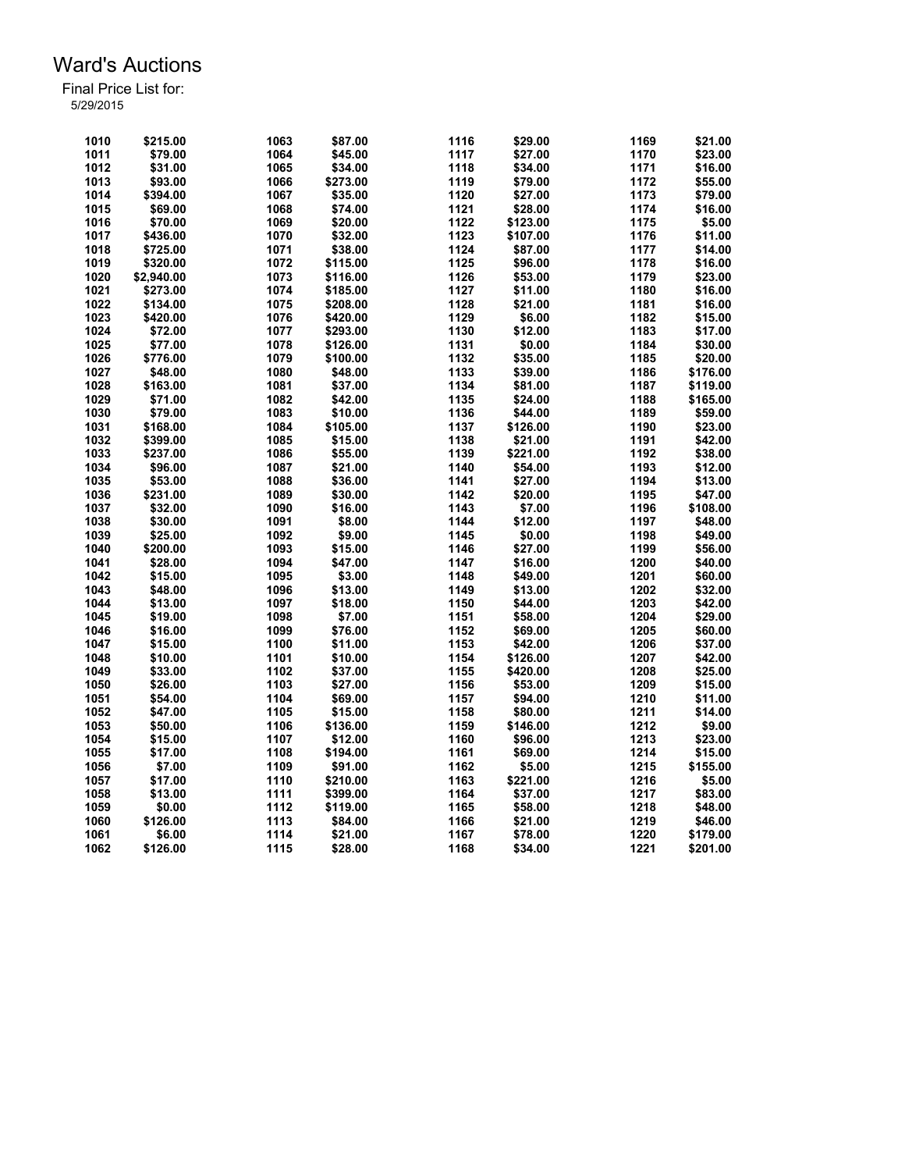| 1010 | \$215.00   | 1063         | \$87.00  | 1116 | \$29.00  | 1169 | \$21.00  |
|------|------------|--------------|----------|------|----------|------|----------|
| 1011 | \$79.00    | 1064         | \$45.00  | 1117 | \$27.00  | 1170 | \$23.00  |
| 1012 | \$31.00    | 1065         | \$34.00  | 1118 | \$34.00  | 1171 | \$16.00  |
| 1013 | \$93.00    | 1066         | \$273.00 | 1119 | \$79.00  | 1172 | \$55.00  |
| 1014 | \$394.00   | 1067         | \$35.00  | 1120 | \$27.00  | 1173 | \$79.00  |
| 1015 | \$69.00    | 1068         | \$74.00  | 1121 | \$28.00  | 1174 | \$16.00  |
| 1016 | \$70.00    | 1069         | \$20.00  | 1122 | \$123.00 | 1175 | \$5.00   |
| 1017 | \$436.00   | 1070         | \$32.00  | 1123 | \$107.00 | 1176 | \$11.00  |
| 1018 | \$725.00   | 1071         | \$38.00  | 1124 | \$87.00  | 1177 | \$14.00  |
| 1019 | \$320.00   | 1072         | \$115.00 | 1125 | \$96.00  | 1178 | \$16.00  |
| 1020 | \$2,940.00 | 1073         | \$116.00 | 1126 | \$53.00  | 1179 | \$23.00  |
| 1021 | \$273.00   | 1074         | \$185.00 | 1127 | \$11.00  | 1180 | \$16.00  |
| 1022 | \$134.00   | 1075         | \$208.00 | 1128 | \$21.00  | 1181 | \$16.00  |
| 1023 | \$420.00   | 1076         | \$420.00 | 1129 | \$6.00   | 1182 | \$15.00  |
| 1024 | \$72.00    | 1077         | \$293.00 | 1130 | \$12.00  | 1183 | \$17.00  |
| 1025 | \$77.00    | 1078         | \$126.00 | 1131 | \$0.00   | 1184 | \$30.00  |
| 1026 | \$776.00   | 1079         | \$100.00 | 1132 | \$35.00  | 1185 | \$20.00  |
| 1027 | \$48.00    | 1080         | \$48.00  | 1133 | \$39.00  | 1186 | \$176.00 |
| 1028 | \$163.00   | 1081         | \$37.00  | 1134 | \$81.00  | 1187 | \$119.00 |
| 1029 | \$71.00    | 1082         | \$42.00  | 1135 | \$24.00  | 1188 | \$165.00 |
| 1030 | \$79.00    | 1083         | \$10.00  | 1136 | \$44.00  | 1189 | \$59.00  |
| 1031 | \$168.00   | 1084         | \$105.00 | 1137 | \$126.00 | 1190 | \$23.00  |
| 1032 | \$399.00   | 1085         | \$15.00  | 1138 | \$21.00  | 1191 | \$42.00  |
| 1033 | \$237.00   | 1086         | \$55.00  | 1139 | \$221.00 | 1192 | \$38.00  |
| 1034 |            |              |          | 1140 |          | 1193 | \$12.00  |
| 1035 | \$96.00    | 1087<br>1088 | \$21.00  | 1141 | \$54.00  | 1194 |          |
|      | \$53.00    |              | \$36.00  |      | \$27.00  |      | \$13.00  |
| 1036 | \$231.00   | 1089         | \$30.00  | 1142 | \$20.00  | 1195 | \$47.00  |
| 1037 | \$32.00    | 1090         | \$16.00  | 1143 | \$7.00   | 1196 | \$108.00 |
| 1038 | \$30.00    | 1091         | \$8.00   | 1144 | \$12.00  | 1197 | \$48.00  |
| 1039 | \$25.00    | 1092         | \$9.00   | 1145 | \$0.00   | 1198 | \$49.00  |
| 1040 | \$200.00   | 1093         | \$15.00  | 1146 | \$27.00  | 1199 | \$56.00  |
| 1041 | \$28.00    | 1094         | \$47.00  | 1147 | \$16.00  | 1200 | \$40.00  |
| 1042 | \$15.00    | 1095         | \$3.00   | 1148 | \$49.00  | 1201 | \$60.00  |
| 1043 | \$48.00    | 1096         | \$13.00  | 1149 | \$13.00  | 1202 | \$32.00  |
| 1044 | \$13.00    | 1097         | \$18.00  | 1150 | \$44.00  | 1203 | \$42.00  |
| 1045 | \$19.00    | 1098         | \$7.00   | 1151 | \$58.00  | 1204 | \$29.00  |
| 1046 | \$16.00    | 1099         | \$76.00  | 1152 | \$69.00  | 1205 | \$60.00  |
| 1047 | \$15.00    | 1100         | \$11.00  | 1153 | \$42.00  | 1206 | \$37.00  |
| 1048 | \$10.00    | 1101         | \$10.00  | 1154 | \$126.00 | 1207 | \$42.00  |
| 1049 | \$33.00    | 1102         | \$37.00  | 1155 | \$420.00 | 1208 | \$25.00  |
| 1050 | \$26.00    | 1103         | \$27.00  | 1156 | \$53.00  | 1209 | \$15.00  |
| 1051 | \$54.00    | 1104         | \$69.00  | 1157 | \$94.00  | 1210 | \$11.00  |
| 1052 | \$47.00    | 1105         | \$15.00  | 1158 | \$80.00  | 1211 | \$14.00  |
| 1053 | \$50.00    | 1106         | \$136.00 | 1159 | \$146.00 | 1212 | \$9.00   |
| 1054 | \$15.00    | 1107         | \$12.00  | 1160 | \$96.00  | 1213 | \$23.00  |
| 1055 | \$17.00    | 1108         | \$194.00 | 1161 | \$69.00  | 1214 | \$15.00  |
| 1056 | \$7.00     | 1109         | \$91.00  | 1162 | \$5.00   | 1215 | \$155.00 |
| 1057 | \$17.00    | 1110         | \$210.00 | 1163 | \$221.00 | 1216 | \$5.00   |
| 1058 | \$13.00    | 1111         | \$399.00 | 1164 | \$37.00  | 1217 | \$83.00  |
| 1059 | \$0.00     | 1112         | \$119.00 | 1165 | \$58.00  | 1218 | \$48.00  |
| 1060 | \$126.00   | 1113         | \$84.00  | 1166 | \$21.00  | 1219 | \$46.00  |
| 1061 | \$6.00     | 1114         | \$21.00  | 1167 | \$78.00  | 1220 | \$179.00 |
| 1062 | \$126.00   | 1115         | \$28.00  | 1168 | \$34.00  | 1221 | \$201.00 |
|      |            |              |          |      |          |      |          |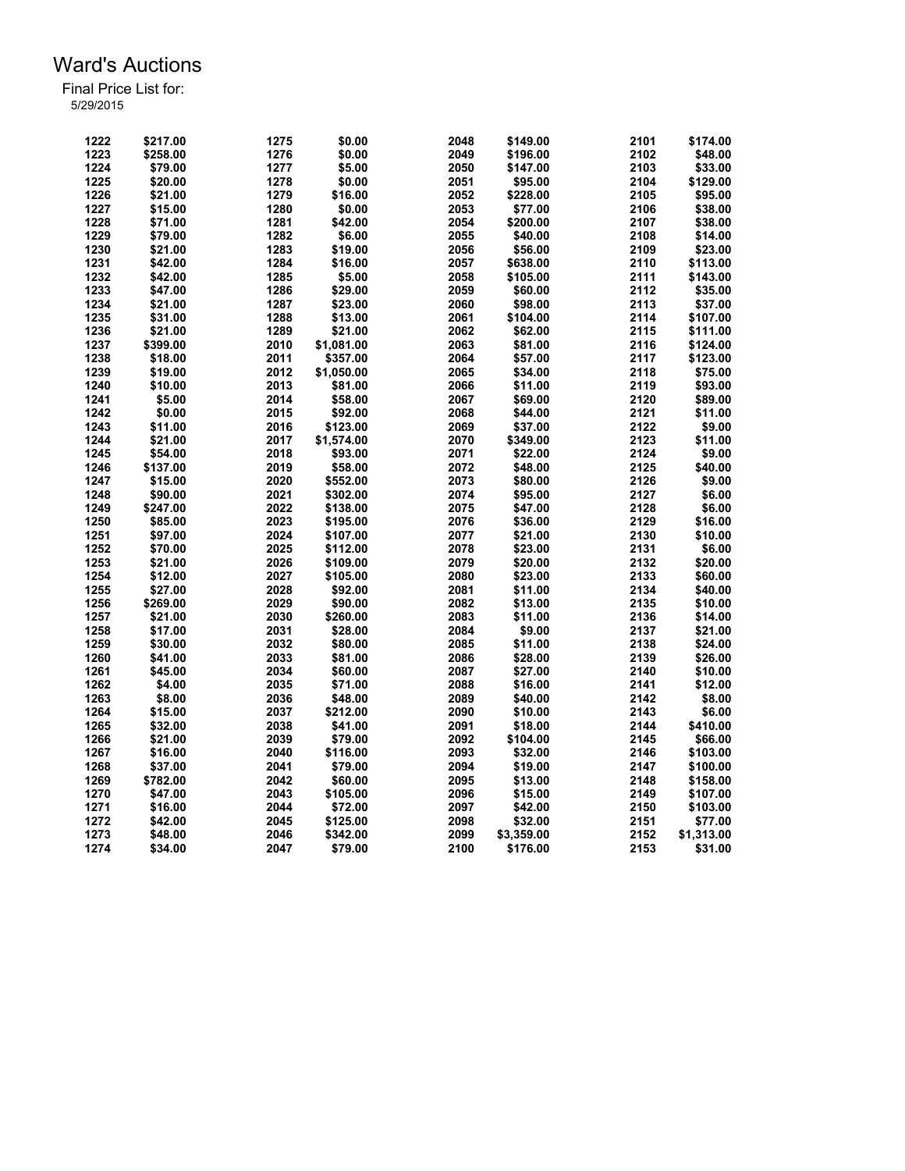| 1222 | \$217.00 | 1275 | \$0.00     | 2048 | \$149.00   | 2101 | \$174.00   |
|------|----------|------|------------|------|------------|------|------------|
| 1223 | \$258.00 | 1276 | \$0.00     | 2049 | \$196.00   | 2102 | \$48.00    |
| 1224 | \$79.00  | 1277 | \$5.00     | 2050 | \$147.00   | 2103 | \$33.00    |
| 1225 | \$20.00  | 1278 | \$0.00     | 2051 | \$95.00    | 2104 | \$129.00   |
| 1226 | \$21.00  | 1279 | \$16.00    | 2052 | \$228.00   | 2105 | \$95.00    |
| 1227 | \$15.00  | 1280 | \$0.00     | 2053 | \$77.00    | 2106 | \$38.00    |
| 1228 | \$71.00  | 1281 | \$42.00    | 2054 | \$200.00   | 2107 | \$38.00    |
| 1229 | \$79.00  | 1282 | \$6.00     | 2055 | \$40.00    | 2108 | \$14.00    |
| 1230 | \$21.00  | 1283 | \$19.00    | 2056 | \$56.00    | 2109 | \$23.00    |
| 1231 | \$42.00  | 1284 | \$16.00    | 2057 | \$638.00   | 2110 | \$113.00   |
| 1232 | \$42.00  | 1285 | \$5.00     | 2058 | \$105.00   | 2111 | \$143.00   |
| 1233 | \$47.00  | 1286 | \$29.00    | 2059 | \$60.00    | 2112 | \$35.00    |
| 1234 | \$21.00  | 1287 | \$23.00    | 2060 | \$98.00    | 2113 | \$37.00    |
| 1235 | \$31.00  | 1288 | \$13.00    | 2061 | \$104.00   | 2114 | \$107.00   |
| 1236 | \$21.00  | 1289 | \$21.00    | 2062 | \$62.00    | 2115 | \$111.00   |
| 1237 | \$399.00 | 2010 | \$1,081.00 | 2063 | \$81.00    | 2116 | \$124.00   |
| 1238 | \$18.00  | 2011 | \$357.00   | 2064 | \$57.00    | 2117 | \$123.00   |
| 1239 | \$19.00  | 2012 | \$1,050.00 | 2065 | \$34.00    | 2118 | \$75.00    |
| 1240 | \$10.00  | 2013 |            | 2066 |            | 2119 |            |
|      |          |      | \$81.00    |      | \$11.00    |      | \$93.00    |
| 1241 | \$5.00   | 2014 | \$58.00    | 2067 | \$69.00    | 2120 | \$89.00    |
| 1242 | \$0.00   | 2015 | \$92.00    | 2068 | \$44.00    | 2121 | \$11.00    |
| 1243 | \$11.00  | 2016 | \$123.00   | 2069 | \$37.00    | 2122 | \$9.00     |
| 1244 | \$21.00  | 2017 | \$1,574.00 | 2070 | \$349.00   | 2123 | \$11.00    |
| 1245 | \$54.00  | 2018 | \$93.00    | 2071 | \$22.00    | 2124 | \$9.00     |
| 1246 | \$137.00 | 2019 | \$58.00    | 2072 | \$48.00    | 2125 | \$40.00    |
| 1247 | \$15.00  | 2020 | \$552.00   | 2073 | \$80.00    | 2126 | \$9.00     |
| 1248 | \$90.00  | 2021 | \$302.00   | 2074 | \$95.00    | 2127 | \$6.00     |
| 1249 | \$247.00 | 2022 | \$138.00   | 2075 | \$47.00    | 2128 | \$6.00     |
| 1250 | \$85.00  | 2023 | \$195.00   | 2076 | \$36.00    | 2129 | \$16.00    |
| 1251 | \$97.00  | 2024 | \$107.00   | 2077 | \$21.00    | 2130 | \$10.00    |
| 1252 | \$70.00  | 2025 | \$112.00   | 2078 | \$23.00    | 2131 | \$6.00     |
| 1253 | \$21.00  | 2026 | \$109.00   | 2079 | \$20.00    | 2132 | \$20.00    |
| 1254 | \$12.00  | 2027 | \$105.00   | 2080 | \$23.00    | 2133 | \$60.00    |
| 1255 | \$27.00  | 2028 | \$92.00    | 2081 | \$11.00    | 2134 | \$40.00    |
| 1256 | \$269.00 | 2029 | \$90.00    | 2082 | \$13.00    | 2135 | \$10.00    |
| 1257 | \$21.00  | 2030 | \$260.00   | 2083 | \$11.00    | 2136 | \$14.00    |
| 1258 | \$17.00  | 2031 | \$28.00    | 2084 | \$9.00     | 2137 | \$21.00    |
| 1259 | \$30.00  | 2032 | \$80.00    | 2085 | \$11.00    | 2138 | \$24.00    |
| 1260 | \$41.00  | 2033 | \$81.00    | 2086 | \$28.00    | 2139 | \$26.00    |
| 1261 | \$45.00  | 2034 | \$60.00    | 2087 | \$27.00    | 2140 | \$10.00    |
| 1262 | \$4.00   | 2035 | \$71.00    | 2088 | \$16.00    | 2141 | \$12.00    |
| 1263 | \$8.00   | 2036 | \$48.00    | 2089 | \$40.00    | 2142 | \$8.00     |
| 1264 | \$15.00  | 2037 | \$212.00   | 2090 | \$10.00    | 2143 | \$6.00     |
| 1265 | \$32.00  | 2038 | \$41.00    | 2091 | \$18.00    | 2144 | \$410.00   |
| 1266 | \$21.00  | 2039 | \$79.00    | 2092 | \$104.00   | 2145 | \$66.00    |
| 1267 | \$16.00  | 2040 | \$116.00   | 2093 | \$32.00    | 2146 | \$103.00   |
| 1268 | \$37.00  | 2041 | \$79.00    | 2094 | \$19.00    | 2147 | \$100.00   |
| 1269 | \$782.00 | 2042 | \$60.00    | 2095 | \$13.00    | 2148 | \$158.00   |
| 1270 | \$47.00  | 2043 | \$105.00   | 2096 | \$15.00    | 2149 | \$107.00   |
| 1271 | \$16.00  | 2044 | \$72.00    | 2097 | \$42.00    | 2150 | \$103.00   |
| 1272 | \$42.00  | 2045 | \$125.00   | 2098 | \$32.00    | 2151 | \$77.00    |
| 1273 | \$48.00  | 2046 | \$342.00   | 2099 | \$3,359.00 | 2152 | \$1,313.00 |
|      |          |      |            |      |            |      |            |
| 1274 | \$34.00  | 2047 | \$79.00    | 2100 | \$176.00   | 2153 | \$31.00    |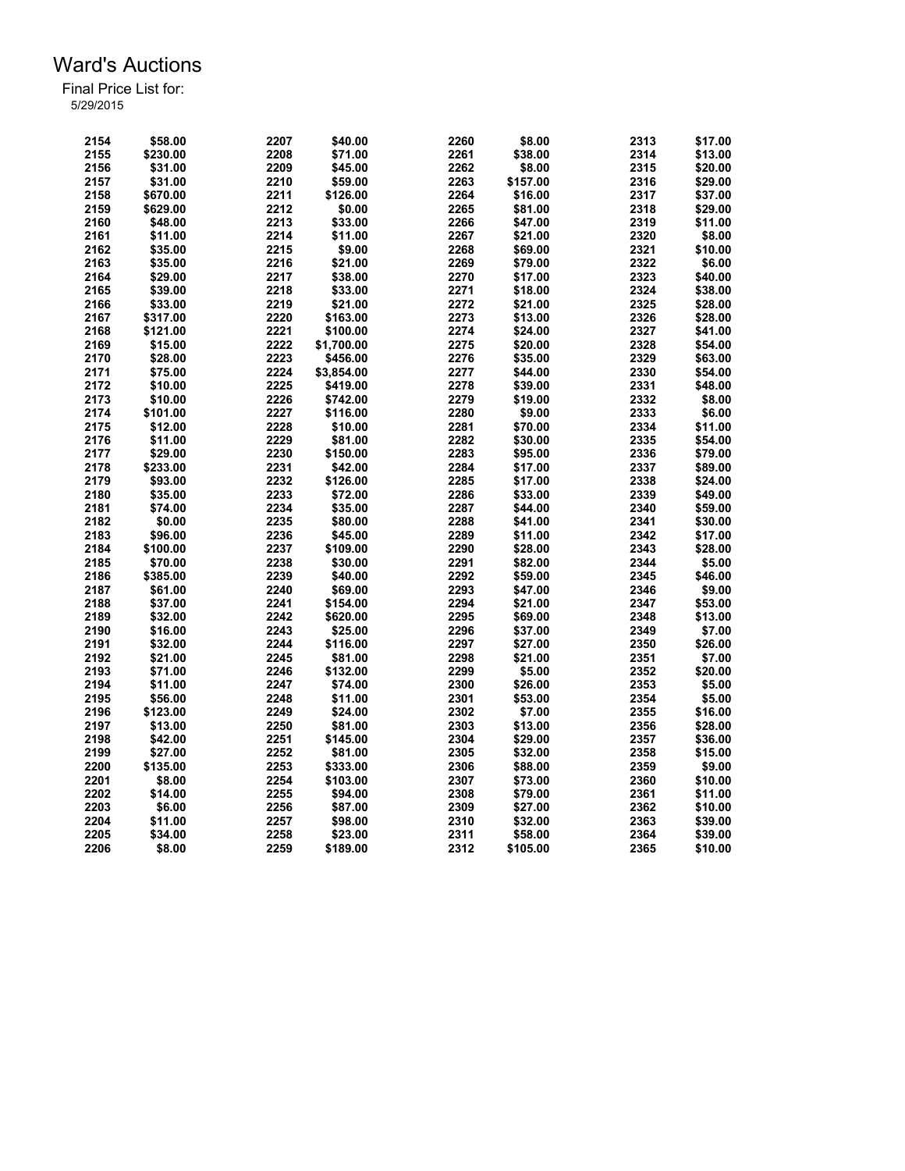| 2154 | \$58.00  | 2207 | \$40.00    | 2260 | \$8.00   | 2313 | \$17.00 |
|------|----------|------|------------|------|----------|------|---------|
| 2155 | \$230.00 | 2208 | \$71.00    | 2261 | \$38.00  | 2314 | \$13.00 |
| 2156 | \$31.00  | 2209 | \$45.00    | 2262 | \$8.00   | 2315 | \$20.00 |
| 2157 | \$31.00  | 2210 | \$59.00    | 2263 | \$157.00 | 2316 | \$29.00 |
| 2158 | \$670.00 | 2211 | \$126.00   | 2264 | \$16.00  | 2317 | \$37.00 |
| 2159 | \$629.00 | 2212 | \$0.00     | 2265 | \$81.00  | 2318 | \$29.00 |
| 2160 | \$48.00  | 2213 | \$33.00    | 2266 | \$47.00  | 2319 | \$11.00 |
| 2161 |          | 2214 | \$11.00    | 2267 |          | 2320 | \$8.00  |
|      | \$11.00  |      |            |      | \$21.00  |      |         |
| 2162 | \$35.00  | 2215 | \$9.00     | 2268 | \$69.00  | 2321 | \$10.00 |
| 2163 | \$35.00  | 2216 | \$21.00    | 2269 | \$79.00  | 2322 | \$6.00  |
| 2164 | \$29.00  | 2217 | \$38.00    | 2270 | \$17.00  | 2323 | \$40.00 |
| 2165 | \$39.00  | 2218 | \$33.00    | 2271 | \$18.00  | 2324 | \$38.00 |
| 2166 | \$33.00  | 2219 | \$21.00    | 2272 | \$21.00  | 2325 | \$28.00 |
| 2167 | \$317.00 | 2220 | \$163.00   | 2273 | \$13.00  | 2326 | \$28.00 |
| 2168 | \$121.00 | 2221 | \$100.00   | 2274 | \$24.00  | 2327 | \$41.00 |
| 2169 | \$15.00  | 2222 | \$1,700.00 | 2275 | \$20.00  | 2328 | \$54.00 |
| 2170 | \$28.00  | 2223 | \$456.00   | 2276 | \$35.00  | 2329 | \$63.00 |
| 2171 | \$75.00  | 2224 | \$3,854.00 | 2277 | \$44.00  | 2330 | \$54.00 |
|      |          |      |            | 2278 |          |      |         |
| 2172 | \$10.00  | 2225 | \$419.00   |      | \$39.00  | 2331 | \$48.00 |
| 2173 | \$10.00  | 2226 | \$742.00   | 2279 | \$19.00  | 2332 | \$8.00  |
| 2174 | \$101.00 | 2227 | \$116.00   | 2280 | \$9.00   | 2333 | \$6.00  |
| 2175 | \$12.00  | 2228 | \$10.00    | 2281 | \$70.00  | 2334 | \$11.00 |
| 2176 | \$11.00  | 2229 | \$81.00    | 2282 | \$30.00  | 2335 | \$54.00 |
| 2177 | \$29.00  | 2230 | \$150.00   | 2283 | \$95.00  | 2336 | \$79.00 |
| 2178 | \$233.00 | 2231 | \$42.00    | 2284 | \$17.00  | 2337 | \$89.00 |
| 2179 | \$93.00  | 2232 | \$126.00   | 2285 | \$17.00  | 2338 | \$24.00 |
| 2180 | \$35.00  | 2233 | \$72.00    | 2286 | \$33.00  | 2339 | \$49.00 |
| 2181 | \$74.00  | 2234 | \$35.00    | 2287 | \$44.00  | 2340 | \$59.00 |
| 2182 | \$0.00   | 2235 | \$80.00    | 2288 | \$41.00  | 2341 |         |
|      |          |      |            |      |          |      | \$30.00 |
| 2183 | \$96.00  | 2236 | \$45.00    | 2289 | \$11.00  | 2342 | \$17.00 |
| 2184 | \$100.00 | 2237 | \$109.00   | 2290 | \$28.00  | 2343 | \$28.00 |
| 2185 | \$70.00  | 2238 | \$30.00    | 2291 | \$82.00  | 2344 | \$5.00  |
| 2186 | \$385.00 | 2239 | \$40.00    | 2292 | \$59.00  | 2345 | \$46.00 |
| 2187 | \$61.00  | 2240 | \$69.00    | 2293 | \$47.00  | 2346 | \$9.00  |
| 2188 | \$37.00  | 2241 | \$154.00   | 2294 | \$21.00  | 2347 | \$53.00 |
| 2189 | \$32.00  | 2242 | \$620.00   | 2295 | \$69.00  | 2348 | \$13.00 |
| 2190 | \$16.00  | 2243 | \$25.00    | 2296 | \$37.00  | 2349 | \$7.00  |
| 2191 | \$32.00  | 2244 | \$116.00   | 2297 | \$27.00  | 2350 | \$26.00 |
| 2192 | \$21.00  | 2245 | \$81.00    | 2298 | \$21.00  | 2351 | \$7.00  |
| 2193 | \$71.00  | 2246 | \$132.00   | 2299 |          |      |         |
|      |          |      |            |      | \$5.00   | 2352 | \$20.00 |
| 2194 | \$11.00  | 2247 | \$74.00    | 2300 | \$26.00  | 2353 | \$5.00  |
| 2195 | \$56.00  | 2248 | \$11.00    | 2301 | \$53.00  | 2354 | \$5.00  |
| 2196 | \$123.00 | 2249 | \$24.00    | 2302 | \$7.00   | 2355 | \$16.00 |
| 2197 | \$13.00  | 2250 | \$81.00    | 2303 | \$13.00  | 2356 | \$28.00 |
| 2198 | \$42.00  | 2251 | \$145.00   | 2304 | \$29.00  | 2357 | \$36.00 |
| 2199 | \$27.00  | 2252 | \$81.00    | 2305 | \$32.00  | 2358 | \$15.00 |
| 2200 | \$135.00 | 2253 | \$333.00   | 2306 | \$88.00  | 2359 | \$9.00  |
| 2201 | \$8.00   | 2254 | \$103.00   | 2307 | \$73.00  | 2360 | \$10.00 |
| 2202 | \$14.00  | 2255 | \$94.00    | 2308 | \$79.00  | 2361 | \$11.00 |
| 2203 | \$6.00   | 2256 | \$87.00    | 2309 | \$27.00  | 2362 | \$10.00 |
|      | \$11.00  |      |            | 2310 |          | 2363 |         |
| 2204 |          | 2257 | \$98.00    |      | \$32.00  |      | \$39.00 |
| 2205 | \$34.00  | 2258 | \$23.00    | 2311 | \$58.00  | 2364 | \$39.00 |
| 2206 | \$8.00   | 2259 | \$189.00   | 2312 | \$105.00 | 2365 | \$10.00 |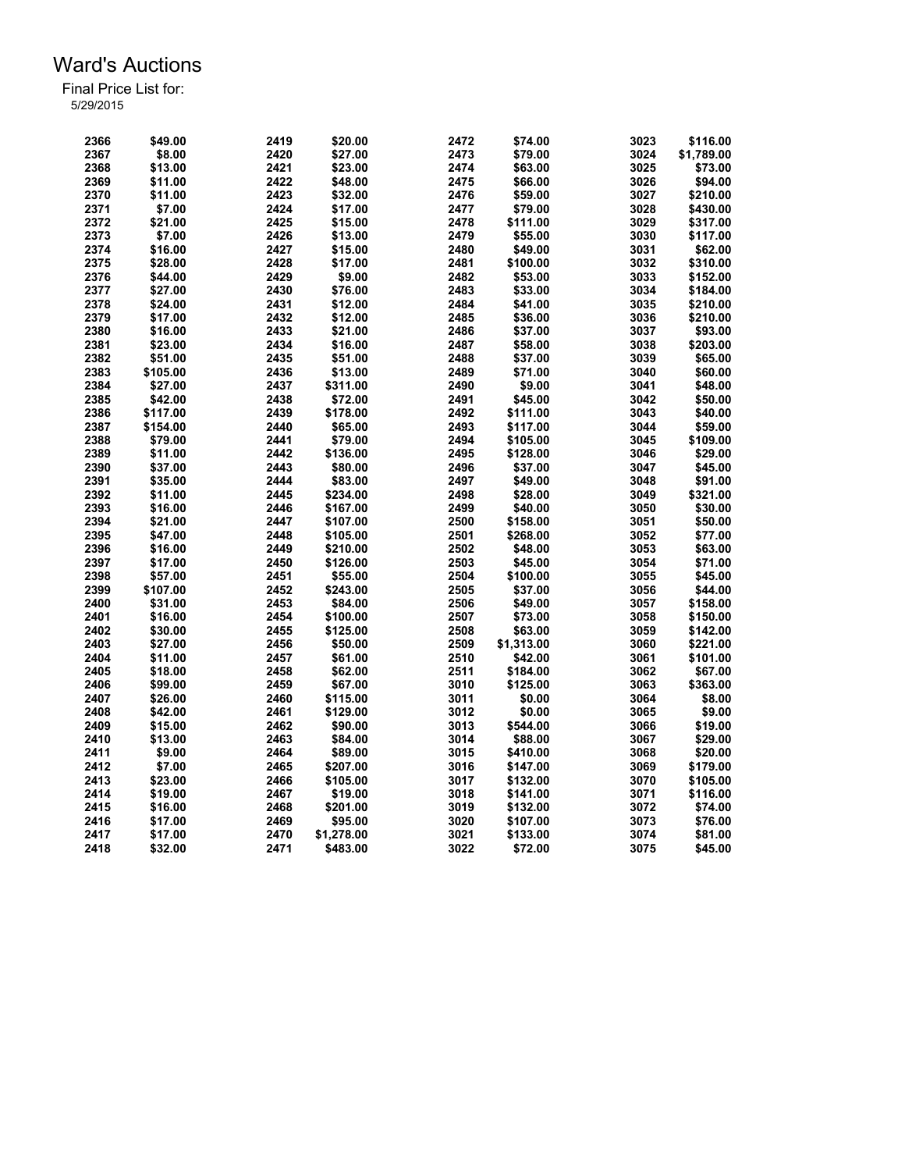| 2366 | \$49.00  | 2419 | \$20.00    | 2472 | \$74.00    | 3023 | \$116.00   |
|------|----------|------|------------|------|------------|------|------------|
| 2367 | \$8.00   | 2420 | \$27.00    | 2473 | \$79.00    | 3024 | \$1,789.00 |
|      |          |      |            |      |            |      |            |
| 2368 | \$13.00  | 2421 | \$23.00    | 2474 | \$63.00    | 3025 | \$73.00    |
| 2369 | \$11.00  | 2422 | \$48.00    | 2475 | \$66.00    | 3026 | \$94.00    |
| 2370 | \$11.00  | 2423 | \$32.00    | 2476 | \$59.00    | 3027 | \$210.00   |
| 2371 | \$7.00   | 2424 | \$17.00    | 2477 | \$79.00    | 3028 | \$430.00   |
| 2372 | \$21.00  | 2425 | \$15.00    | 2478 | \$111.00   | 3029 | \$317.00   |
| 2373 | \$7.00   | 2426 | \$13.00    | 2479 | \$55.00    | 3030 | \$117.00   |
| 2374 | \$16.00  | 2427 | \$15.00    | 2480 | \$49.00    | 3031 | \$62.00    |
| 2375 | \$28.00  | 2428 | \$17.00    | 2481 | \$100.00   | 3032 | \$310.00   |
| 2376 | \$44.00  | 2429 | \$9.00     | 2482 | \$53.00    | 3033 | \$152.00   |
| 2377 | \$27.00  | 2430 | \$76.00    | 2483 | \$33.00    | 3034 | \$184.00   |
| 2378 | \$24.00  | 2431 | \$12.00    | 2484 | \$41.00    | 3035 | \$210.00   |
| 2379 | \$17.00  | 2432 | \$12.00    | 2485 | \$36.00    | 3036 | \$210.00   |
| 2380 | \$16.00  | 2433 | \$21.00    | 2486 | \$37.00    | 3037 | \$93.00    |
| 2381 | \$23.00  | 2434 | \$16.00    | 2487 | \$58.00    | 3038 | \$203.00   |
| 2382 | \$51.00  | 2435 | \$51.00    | 2488 | \$37.00    | 3039 | \$65.00    |
| 2383 | \$105.00 | 2436 | \$13.00    | 2489 | \$71.00    | 3040 | \$60.00    |
| 2384 | \$27.00  | 2437 | \$311.00   | 2490 | \$9.00     | 3041 | \$48.00    |
| 2385 | \$42.00  | 2438 | \$72.00    | 2491 | \$45.00    | 3042 | \$50.00    |
|      |          |      |            |      |            |      |            |
| 2386 | \$117.00 | 2439 | \$178.00   | 2492 | \$111.00   | 3043 | \$40.00    |
| 2387 | \$154.00 | 2440 | \$65.00    | 2493 | \$117.00   | 3044 | \$59.00    |
| 2388 | \$79.00  | 2441 | \$79.00    | 2494 | \$105.00   | 3045 | \$109.00   |
| 2389 | \$11.00  | 2442 | \$136.00   | 2495 | \$128.00   | 3046 | \$29.00    |
| 2390 | \$37.00  | 2443 | \$80.00    | 2496 | \$37.00    | 3047 | \$45.00    |
| 2391 | \$35.00  | 2444 | \$83.00    | 2497 | \$49.00    | 3048 | \$91.00    |
| 2392 | \$11.00  | 2445 | \$234.00   | 2498 | \$28.00    | 3049 | \$321.00   |
| 2393 | \$16.00  | 2446 | \$167.00   | 2499 | \$40.00    | 3050 | \$30.00    |
| 2394 | \$21.00  | 2447 | \$107.00   | 2500 | \$158.00   | 3051 | \$50.00    |
| 2395 | \$47.00  | 2448 | \$105.00   | 2501 | \$268.00   | 3052 | \$77.00    |
| 2396 | \$16.00  | 2449 | \$210.00   | 2502 | \$48.00    | 3053 | \$63.00    |
| 2397 | \$17.00  | 2450 | \$126.00   | 2503 | \$45.00    | 3054 | \$71.00    |
| 2398 | \$57.00  | 2451 | \$55.00    | 2504 | \$100.00   | 3055 | \$45.00    |
| 2399 | \$107.00 | 2452 | \$243.00   | 2505 | \$37.00    | 3056 | \$44.00    |
| 2400 | \$31.00  | 2453 | \$84.00    | 2506 | \$49.00    | 3057 | \$158.00   |
| 2401 | \$16.00  | 2454 | \$100.00   | 2507 | \$73.00    | 3058 | \$150.00   |
| 2402 | \$30.00  | 2455 | \$125.00   | 2508 | \$63.00    | 3059 | \$142.00   |
| 2403 | \$27.00  | 2456 | \$50.00    | 2509 | \$1,313.00 | 3060 | \$221.00   |
| 2404 | \$11.00  | 2457 | \$61.00    | 2510 | \$42.00    | 3061 | \$101.00   |
| 2405 | \$18.00  | 2458 | \$62.00    | 2511 | \$184.00   | 3062 | \$67.00    |
| 2406 | \$99.00  | 2459 | \$67.00    | 3010 | \$125.00   | 3063 | \$363.00   |
| 2407 | \$26.00  | 2460 | \$115.00   | 3011 | \$0.00     | 3064 | \$8.00     |
| 2408 | \$42.00  | 2461 | \$129.00   | 3012 | \$0.00     | 3065 | \$9.00     |
| 2409 | \$15.00  | 2462 | \$90.00    | 3013 | \$544.00   | 3066 | \$19.00    |
| 2410 | \$13.00  | 2463 | \$84.00    | 3014 | \$88.00    | 3067 | \$29.00    |
|      |          |      |            |      |            |      |            |
| 2411 | \$9.00   | 2464 | \$89.00    | 3015 | \$410.00   | 3068 | \$20.00    |
| 2412 | \$7.00   | 2465 | \$207.00   | 3016 | \$147.00   | 3069 | \$179.00   |
| 2413 | \$23.00  | 2466 | \$105.00   | 3017 | \$132.00   | 3070 | \$105.00   |
| 2414 | \$19.00  | 2467 | \$19.00    | 3018 | \$141.00   | 3071 | \$116.00   |
| 2415 | \$16.00  | 2468 | \$201.00   | 3019 | \$132.00   | 3072 | \$74.00    |
| 2416 | \$17.00  | 2469 | \$95.00    | 3020 | \$107.00   | 3073 | \$76.00    |
| 2417 | \$17.00  | 2470 | \$1,278.00 | 3021 | \$133.00   | 3074 | \$81.00    |
| 2418 | \$32.00  | 2471 | \$483.00   | 3022 | \$72.00    | 3075 | \$45.00    |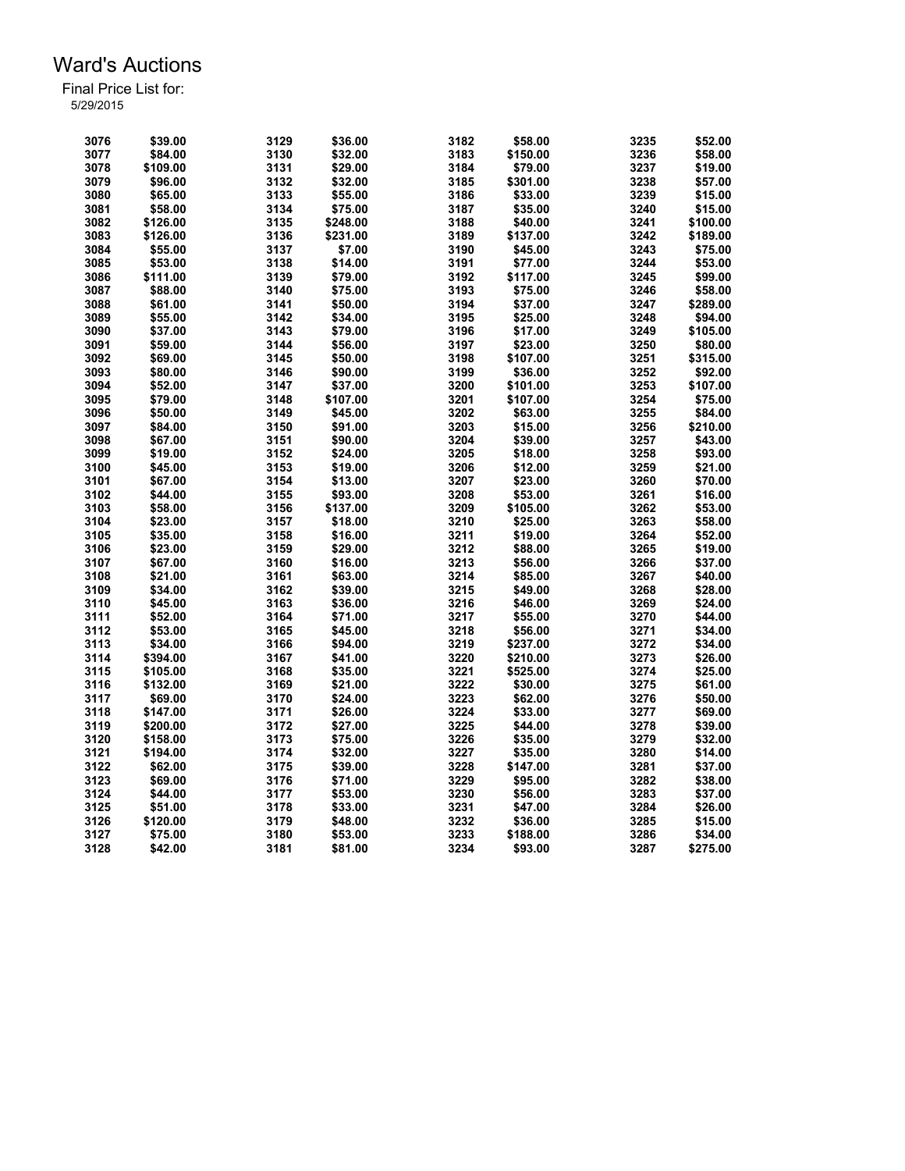| 3076 | \$39.00  | 3129 | \$36.00  | 3182 | \$58.00            | 3235 | \$52.00  |
|------|----------|------|----------|------|--------------------|------|----------|
| 3077 | \$84.00  | 3130 | \$32.00  | 3183 | \$150.00           | 3236 | \$58.00  |
| 3078 | \$109.00 | 3131 | \$29.00  | 3184 | \$79.00            | 3237 | \$19.00  |
| 3079 | \$96.00  | 3132 | \$32.00  | 3185 | \$301.00           | 3238 | \$57.00  |
| 3080 | \$65.00  | 3133 | \$55.00  | 3186 | \$33.00            | 3239 | \$15.00  |
| 3081 | \$58.00  | 3134 | \$75.00  | 3187 | \$35.00            | 3240 | \$15.00  |
| 3082 | \$126.00 | 3135 | \$248.00 | 3188 | \$40.00            | 3241 | \$100.00 |
| 3083 | \$126.00 | 3136 | \$231.00 | 3189 | \$137.00           | 3242 | \$189.00 |
| 3084 | \$55.00  | 3137 | \$7.00   | 3190 | \$45.00            | 3243 | \$75.00  |
| 3085 | \$53.00  | 3138 | \$14.00  | 3191 | \$77.00            | 3244 | \$53.00  |
| 3086 | \$111.00 | 3139 | \$79.00  | 3192 | \$117.00           | 3245 | \$99.00  |
| 3087 | \$88.00  | 3140 | \$75.00  | 3193 | \$75.00            | 3246 | \$58.00  |
| 3088 | \$61.00  | 3141 | \$50.00  | 3194 | \$37.00            | 3247 | \$289.00 |
| 3089 | \$55.00  | 3142 | \$34.00  | 3195 | \$25.00            | 3248 | \$94.00  |
| 3090 | \$37.00  | 3143 | \$79.00  | 3196 | \$17.00            | 3249 | \$105.00 |
| 3091 | \$59.00  | 3144 | \$56.00  | 3197 | \$23.00            | 3250 | \$80.00  |
| 3092 | \$69.00  | 3145 | \$50.00  | 3198 | \$107.00           | 3251 | \$315.00 |
| 3093 | \$80.00  | 3146 | \$90.00  | 3199 | \$36.00            | 3252 | \$92.00  |
| 3094 | \$52.00  | 3147 | \$37.00  | 3200 | \$101.00           | 3253 | \$107.00 |
| 3095 | \$79.00  | 3148 | \$107.00 | 3201 | \$107.00           | 3254 | \$75.00  |
| 3096 | \$50.00  | 3149 | \$45.00  | 3202 |                    | 3255 | \$84.00  |
| 3097 | \$84.00  | 3150 | \$91.00  | 3203 | \$63.00<br>\$15.00 | 3256 | \$210.00 |
|      |          |      |          |      |                    |      |          |
| 3098 | \$67.00  | 3151 | \$90.00  | 3204 | \$39.00            | 3257 | \$43.00  |
| 3099 | \$19.00  | 3152 | \$24.00  | 3205 | \$18.00            | 3258 | \$93.00  |
| 3100 | \$45.00  | 3153 | \$19.00  | 3206 | \$12.00            | 3259 | \$21.00  |
| 3101 | \$67.00  | 3154 | \$13.00  | 3207 | \$23.00            | 3260 | \$70.00  |
| 3102 | \$44.00  | 3155 | \$93.00  | 3208 | \$53.00            | 3261 | \$16.00  |
| 3103 | \$58.00  | 3156 | \$137.00 | 3209 | \$105.00           | 3262 | \$53.00  |
| 3104 | \$23.00  | 3157 | \$18.00  | 3210 | \$25.00            | 3263 | \$58.00  |
| 3105 | \$35.00  | 3158 | \$16.00  | 3211 | \$19.00            | 3264 | \$52.00  |
| 3106 | \$23.00  | 3159 | \$29.00  | 3212 | \$88.00            | 3265 | \$19.00  |
| 3107 | \$67.00  | 3160 | \$16.00  | 3213 | \$56.00            | 3266 | \$37.00  |
| 3108 | \$21.00  | 3161 | \$63.00  | 3214 | \$85.00            | 3267 | \$40.00  |
| 3109 | \$34.00  | 3162 | \$39.00  | 3215 | \$49.00            | 3268 | \$28.00  |
| 3110 | \$45.00  | 3163 | \$36.00  | 3216 | \$46.00            | 3269 | \$24.00  |
| 3111 | \$52.00  | 3164 | \$71.00  | 3217 | \$55.00            | 3270 | \$44.00  |
| 3112 | \$53.00  | 3165 | \$45.00  | 3218 | \$56.00            | 3271 | \$34.00  |
| 3113 | \$34.00  | 3166 | \$94.00  | 3219 | \$237.00           | 3272 | \$34.00  |
| 3114 | \$394.00 | 3167 | \$41.00  | 3220 | \$210.00           | 3273 | \$26.00  |
| 3115 | \$105.00 | 3168 | \$35.00  | 3221 | \$525.00           | 3274 | \$25.00  |
| 3116 | \$132.00 | 3169 | \$21.00  | 3222 | \$30.00            | 3275 | \$61.00  |
| 3117 | \$69.00  | 3170 | \$24.00  | 3223 | \$62.00            | 3276 | \$50.00  |
| 3118 | \$147.00 | 3171 | \$26.00  | 3224 | \$33.00            | 3277 | \$69.00  |
| 3119 | \$200.00 | 3172 | \$27.00  | 3225 | \$44.00            | 3278 | \$39.00  |
| 3120 | \$158.00 | 3173 | \$75.00  | 3226 | \$35.00            | 3279 | \$32.00  |
| 3121 | \$194.00 | 3174 | \$32.00  | 3227 | \$35.00            | 3280 | \$14.00  |
| 3122 | \$62.00  | 3175 | \$39.00  | 3228 | \$147.00           | 3281 | \$37.00  |
| 3123 | \$69.00  | 3176 | \$71.00  | 3229 | \$95.00            | 3282 | \$38.00  |
| 3124 | \$44.00  | 3177 |          | 3230 | \$56.00            | 3283 |          |
|      |          |      | \$53.00  | 3231 |                    |      | \$37.00  |
| 3125 | \$51.00  | 3178 | \$33.00  |      | \$47.00            | 3284 | \$26.00  |
| 3126 | \$120.00 | 3179 | \$48.00  | 3232 | \$36.00            | 3285 | \$15.00  |
| 3127 | \$75.00  | 3180 | \$53.00  | 3233 | \$188.00           | 3286 | \$34.00  |
| 3128 | \$42.00  | 3181 | \$81.00  | 3234 | \$93.00            | 3287 | \$275.00 |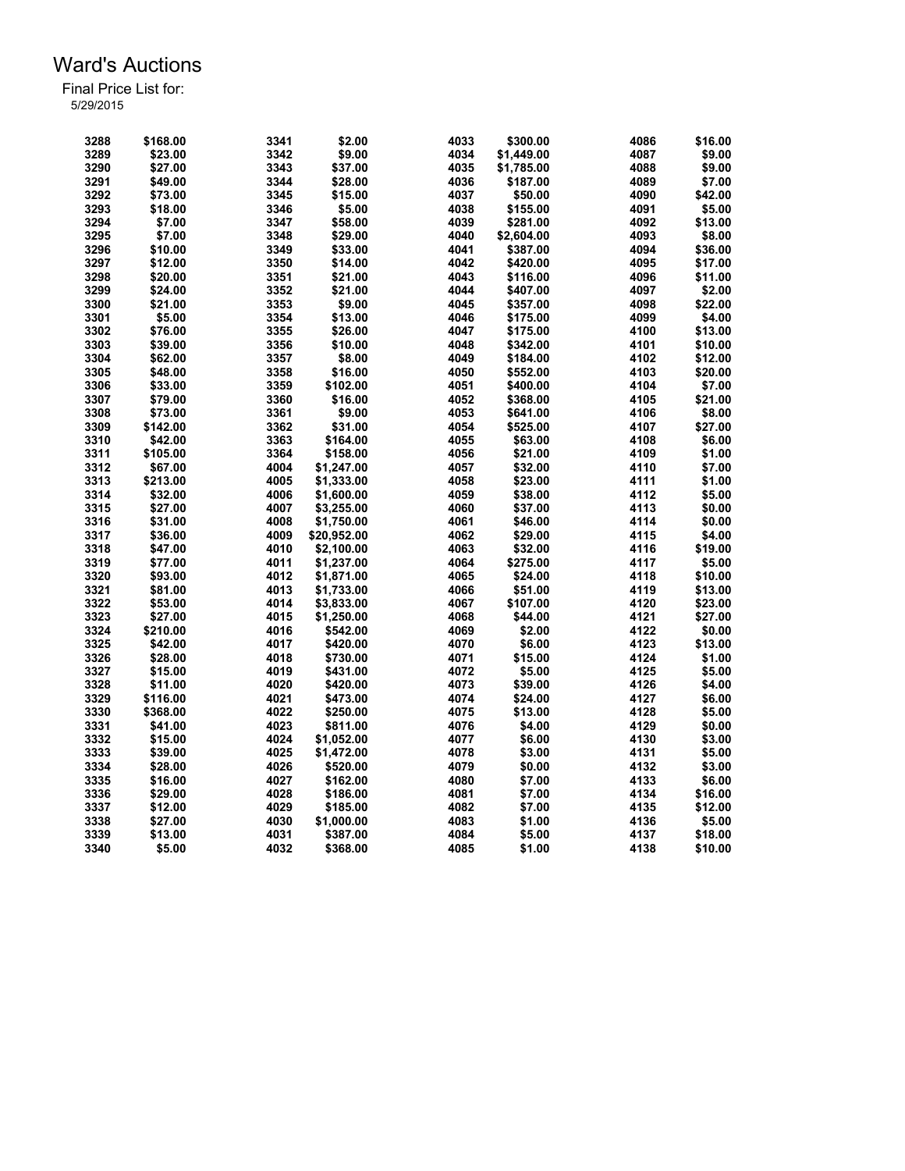| 3288 | \$168.00            | 3341 | \$2.00      | 4033 | \$300.00             | 4086 | \$16.00 |
|------|---------------------|------|-------------|------|----------------------|------|---------|
| 3289 | \$23.00             | 3342 | \$9.00      | 4034 | \$1,449.00           | 4087 | \$9.00  |
| 3290 | \$27.00             | 3343 | \$37.00     | 4035 | \$1,785.00           | 4088 | \$9.00  |
| 3291 | \$49.00             | 3344 | \$28.00     | 4036 | \$187.00             | 4089 | \$7.00  |
| 3292 | \$73.00             | 3345 | \$15.00     | 4037 | \$50.00              | 4090 | \$42.00 |
| 3293 | \$18.00             | 3346 | \$5.00      | 4038 | \$155.00             | 4091 | \$5.00  |
| 3294 | \$7.00              | 3347 | \$58.00     | 4039 | \$281.00             | 4092 | \$13.00 |
| 3295 | \$7.00              | 3348 | \$29.00     | 4040 | \$2,604.00           | 4093 | \$8.00  |
| 3296 | \$10.00             | 3349 | \$33.00     | 4041 | \$387.00             | 4094 | \$36.00 |
| 3297 | \$12.00             | 3350 | \$14.00     | 4042 | \$420.00             | 4095 | \$17.00 |
| 3298 | \$20.00             | 3351 | \$21.00     | 4043 | \$116.00             | 4096 | \$11.00 |
| 3299 | \$24.00             | 3352 | \$21.00     | 4044 | \$407.00             | 4097 | \$2.00  |
| 3300 | \$21.00             | 3353 | \$9.00      | 4045 | \$357.00             | 4098 | \$22.00 |
| 3301 | \$5.00              | 3354 | \$13.00     | 4046 | \$175.00             | 4099 | \$4.00  |
| 3302 | \$76.00             | 3355 | \$26.00     | 4047 | \$175.00             | 4100 | \$13.00 |
| 3303 | \$39.00             | 3356 | \$10.00     | 4048 | \$342.00             | 4101 | \$10.00 |
| 3304 | \$62.00             | 3357 | \$8.00      | 4049 | \$184.00             | 4102 | \$12.00 |
| 3305 | \$48.00             | 3358 | \$16.00     | 4050 | \$552.00             | 4103 | \$20.00 |
| 3306 | \$33.00             | 3359 | \$102.00    | 4051 | \$400.00             | 4104 | \$7.00  |
| 3307 | \$79.00             | 3360 | \$16.00     | 4052 | \$368.00             | 4105 | \$21.00 |
| 3308 |                     | 3361 |             | 4053 |                      | 4106 |         |
|      | \$73.00<br>\$142.00 |      | \$9.00      | 4054 | \$641.00<br>\$525.00 | 4107 | \$8.00  |
| 3309 |                     | 3362 | \$31.00     |      |                      |      | \$27.00 |
| 3310 | \$42.00             | 3363 | \$164.00    | 4055 | \$63.00              | 4108 | \$6.00  |
| 3311 | \$105.00            | 3364 | \$158.00    | 4056 | \$21.00              | 4109 | \$1.00  |
| 3312 | \$67.00             | 4004 | \$1,247.00  | 4057 | \$32.00              | 4110 | \$7.00  |
| 3313 | \$213.00            | 4005 | \$1,333.00  | 4058 | \$23.00              | 4111 | \$1.00  |
| 3314 | \$32.00             | 4006 | \$1,600.00  | 4059 | \$38.00              | 4112 | \$5.00  |
| 3315 | \$27.00             | 4007 | \$3,255.00  | 4060 | \$37.00              | 4113 | \$0.00  |
| 3316 | \$31.00             | 4008 | \$1,750.00  | 4061 | \$46.00              | 4114 | \$0.00  |
| 3317 | \$36.00             | 4009 | \$20,952.00 | 4062 | \$29.00              | 4115 | \$4.00  |
| 3318 | \$47.00             | 4010 | \$2,100.00  | 4063 | \$32.00              | 4116 | \$19.00 |
| 3319 | \$77.00             | 4011 | \$1,237.00  | 4064 | \$275.00             | 4117 | \$5.00  |
| 3320 | \$93.00             | 4012 | \$1,871.00  | 4065 | \$24.00              | 4118 | \$10.00 |
| 3321 | \$81.00             | 4013 | \$1,733.00  | 4066 | \$51.00              | 4119 | \$13.00 |
| 3322 | \$53.00             | 4014 | \$3,833.00  | 4067 | \$107.00             | 4120 | \$23.00 |
| 3323 | \$27.00             | 4015 | \$1,250.00  | 4068 | \$44.00              | 4121 | \$27.00 |
| 3324 | \$210.00            | 4016 | \$542.00    | 4069 | \$2.00               | 4122 | \$0.00  |
| 3325 | \$42.00             | 4017 | \$420.00    | 4070 | \$6.00               | 4123 | \$13.00 |
| 3326 | \$28.00             | 4018 | \$730.00    | 4071 | \$15.00              | 4124 | \$1.00  |
| 3327 | \$15.00             | 4019 | \$431.00    | 4072 | \$5.00               | 4125 | \$5.00  |
| 3328 | \$11.00             | 4020 | \$420.00    | 4073 | \$39.00              | 4126 | \$4.00  |
| 3329 | \$116.00            | 4021 | \$473.00    | 4074 | \$24.00              | 4127 | \$6.00  |
| 3330 | \$368.00            | 4022 | \$250.00    | 4075 | \$13.00              | 4128 | \$5.00  |
| 3331 | \$41.00             | 4023 | \$811.00    | 4076 | \$4.00               | 4129 | \$0.00  |
| 3332 | \$15.00             | 4024 | \$1,052.00  | 4077 | \$6.00               | 4130 | \$3.00  |
| 3333 | \$39.00             | 4025 | \$1,472.00  | 4078 | \$3.00               | 4131 | \$5.00  |
| 3334 | \$28.00             | 4026 | \$520.00    | 4079 | \$0.00               | 4132 | \$3.00  |
| 3335 | \$16.00             | 4027 | \$162.00    | 4080 | \$7.00               | 4133 | \$6.00  |
| 3336 | \$29.00             | 4028 | \$186.00    | 4081 | \$7.00               | 4134 | \$16.00 |
| 3337 | \$12.00             | 4029 | \$185.00    | 4082 | \$7.00               | 4135 | \$12.00 |
| 3338 | \$27.00             | 4030 | \$1,000.00  | 4083 | \$1.00               | 4136 | \$5.00  |
| 3339 | \$13.00             | 4031 | \$387.00    | 4084 | \$5.00               | 4137 | \$18.00 |
| 3340 | \$5.00              | 4032 | \$368.00    | 4085 | \$1.00               | 4138 | \$10.00 |
|      |                     |      |             |      |                      |      |         |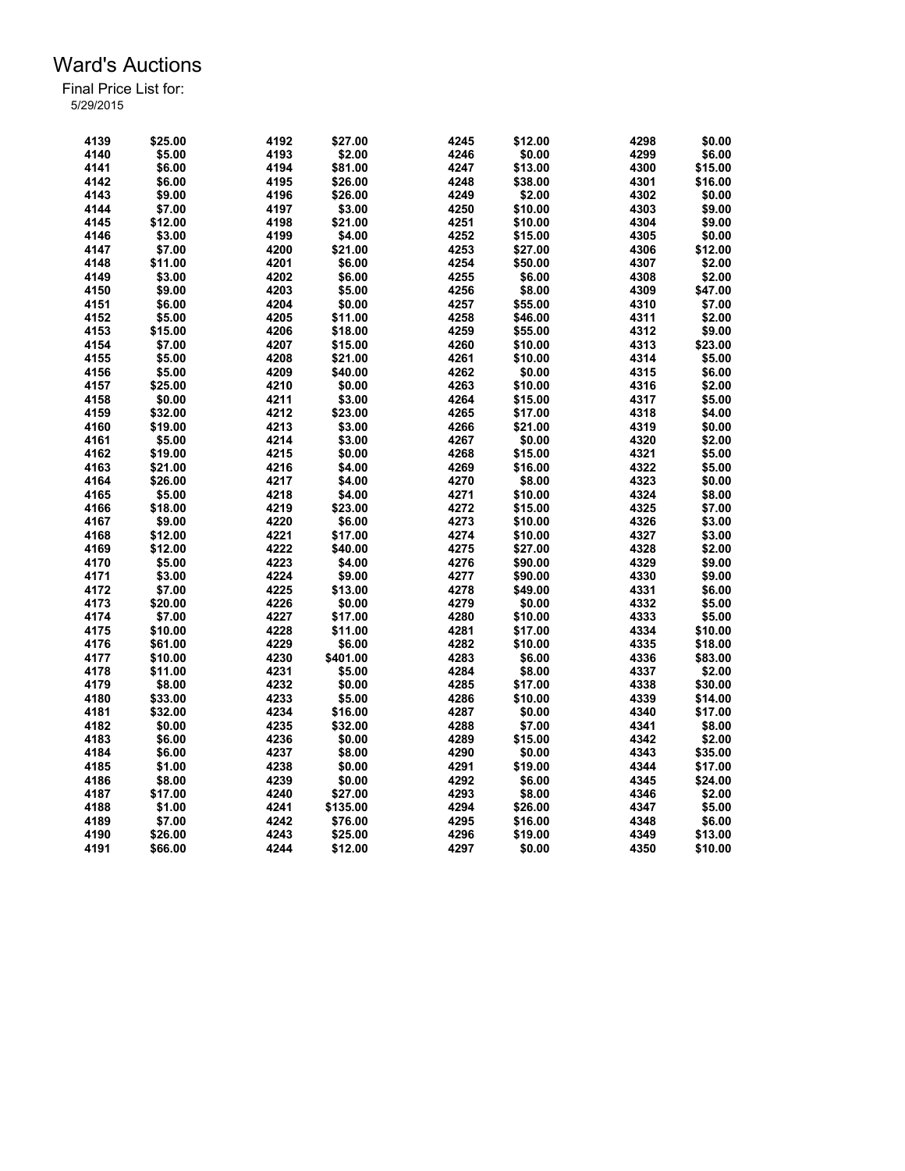| 4139 | \$25.00 | 4192 | \$27.00  | 4245 | \$12.00 | 4298 | \$0.00  |
|------|---------|------|----------|------|---------|------|---------|
| 4140 | \$5.00  | 4193 | \$2.00   | 4246 | \$0.00  | 4299 | \$6.00  |
| 4141 | \$6.00  | 4194 | \$81.00  | 4247 | \$13.00 | 4300 | \$15.00 |
| 4142 | \$6.00  | 4195 | \$26.00  | 4248 | \$38.00 | 4301 | \$16.00 |
| 4143 | \$9.00  | 4196 | \$26.00  | 4249 | \$2.00  | 4302 | \$0.00  |
| 4144 | \$7.00  | 4197 | \$3.00   | 4250 | \$10.00 | 4303 | \$9.00  |
| 4145 | \$12.00 | 4198 | \$21.00  | 4251 | \$10.00 | 4304 | \$9.00  |
| 4146 | \$3.00  | 4199 | \$4.00   | 4252 | \$15.00 | 4305 | \$0.00  |
| 4147 | \$7.00  | 4200 | \$21.00  | 4253 | \$27.00 | 4306 | \$12.00 |
| 4148 | \$11.00 | 4201 | \$6.00   | 4254 | \$50.00 | 4307 | \$2.00  |
| 4149 | \$3.00  | 4202 | \$6.00   | 4255 | \$6.00  | 4308 | \$2.00  |
| 4150 | \$9.00  | 4203 | \$5.00   | 4256 | \$8.00  | 4309 | \$47.00 |
| 4151 | \$6.00  | 4204 | \$0.00   | 4257 | \$55.00 | 4310 | \$7.00  |
| 4152 | \$5.00  | 4205 | \$11.00  | 4258 | \$46.00 | 4311 | \$2.00  |
| 4153 | \$15.00 | 4206 | \$18.00  | 4259 | \$55.00 | 4312 | \$9.00  |
| 4154 | \$7.00  | 4207 | \$15.00  | 4260 | \$10.00 | 4313 | \$23.00 |
| 4155 | \$5.00  | 4208 | \$21.00  | 4261 | \$10.00 | 4314 | \$5.00  |
| 4156 | \$5.00  | 4209 | \$40.00  | 4262 | \$0.00  | 4315 | \$6.00  |
| 4157 | \$25.00 | 4210 | \$0.00   | 4263 | \$10.00 | 4316 | \$2.00  |
|      |         |      |          | 4264 |         | 4317 |         |
| 4158 | \$0.00  | 4211 | \$3.00   |      | \$15.00 |      | \$5.00  |
| 4159 | \$32.00 | 4212 | \$23.00  | 4265 | \$17.00 | 4318 | \$4.00  |
| 4160 | \$19.00 | 4213 | \$3.00   | 4266 | \$21.00 | 4319 | \$0.00  |
| 4161 | \$5.00  | 4214 | \$3.00   | 4267 | \$0.00  | 4320 | \$2.00  |
| 4162 | \$19.00 | 4215 | \$0.00   | 4268 | \$15.00 | 4321 | \$5.00  |
| 4163 | \$21.00 | 4216 | \$4.00   | 4269 | \$16.00 | 4322 | \$5.00  |
| 4164 | \$26.00 | 4217 | \$4.00   | 4270 | \$8.00  | 4323 | \$0.00  |
| 4165 | \$5.00  | 4218 | \$4.00   | 4271 | \$10.00 | 4324 | \$8.00  |
| 4166 | \$18.00 | 4219 | \$23.00  | 4272 | \$15.00 | 4325 | \$7.00  |
| 4167 | \$9.00  | 4220 | \$6.00   | 4273 | \$10.00 | 4326 | \$3.00  |
| 4168 | \$12.00 | 4221 | \$17.00  | 4274 | \$10.00 | 4327 | \$3.00  |
| 4169 | \$12.00 | 4222 | \$40.00  | 4275 | \$27.00 | 4328 | \$2.00  |
| 4170 | \$5.00  | 4223 | \$4.00   | 4276 | \$90.00 | 4329 | \$9.00  |
| 4171 | \$3.00  | 4224 | \$9.00   | 4277 | \$90.00 | 4330 | \$9.00  |
| 4172 | \$7.00  | 4225 | \$13.00  | 4278 | \$49.00 | 4331 | \$6.00  |
| 4173 | \$20.00 | 4226 | \$0.00   | 4279 | \$0.00  | 4332 | \$5.00  |
| 4174 | \$7.00  | 4227 | \$17.00  | 4280 | \$10.00 | 4333 | \$5.00  |
| 4175 | \$10.00 | 4228 | \$11.00  | 4281 | \$17.00 | 4334 | \$10.00 |
| 4176 | \$61.00 | 4229 | \$6.00   | 4282 | \$10.00 | 4335 | \$18.00 |
| 4177 | \$10.00 | 4230 | \$401.00 | 4283 | \$6.00  | 4336 | \$83.00 |
| 4178 | \$11.00 | 4231 | \$5.00   | 4284 | \$8.00  | 4337 | \$2.00  |
| 4179 | \$8.00  | 4232 | \$0.00   | 4285 | \$17.00 | 4338 | \$30.00 |
| 4180 | \$33.00 | 4233 | \$5.00   | 4286 | \$10.00 | 4339 | \$14.00 |
| 4181 | \$32.00 | 4234 | \$16.00  | 4287 | \$0.00  | 4340 | \$17.00 |
| 4182 | \$0.00  | 4235 | \$32.00  | 4288 | \$7.00  | 4341 | \$8.00  |
| 4183 | \$6.00  | 4236 | \$0.00   | 4289 | \$15.00 | 4342 | \$2.00  |
| 4184 | \$6.00  | 4237 | \$8.00   | 4290 | \$0.00  | 4343 | \$35.00 |
| 4185 | \$1.00  | 4238 | \$0.00   | 4291 | \$19.00 | 4344 | \$17.00 |
| 4186 | \$8.00  | 4239 | \$0.00   | 4292 | \$6.00  | 4345 | \$24.00 |
| 4187 | \$17.00 | 4240 | \$27.00  | 4293 | \$8.00  | 4346 | \$2.00  |
| 4188 | \$1.00  | 4241 | \$135.00 | 4294 | \$26.00 | 4347 | \$5.00  |
| 4189 | \$7.00  | 4242 | \$76.00  | 4295 | \$16.00 | 4348 | \$6.00  |
| 4190 | \$26.00 | 4243 | \$25.00  | 4296 | \$19.00 | 4349 | \$13.00 |
| 4191 | \$66.00 | 4244 | \$12.00  | 4297 | \$0.00  | 4350 | \$10.00 |
|      |         |      |          |      |         |      |         |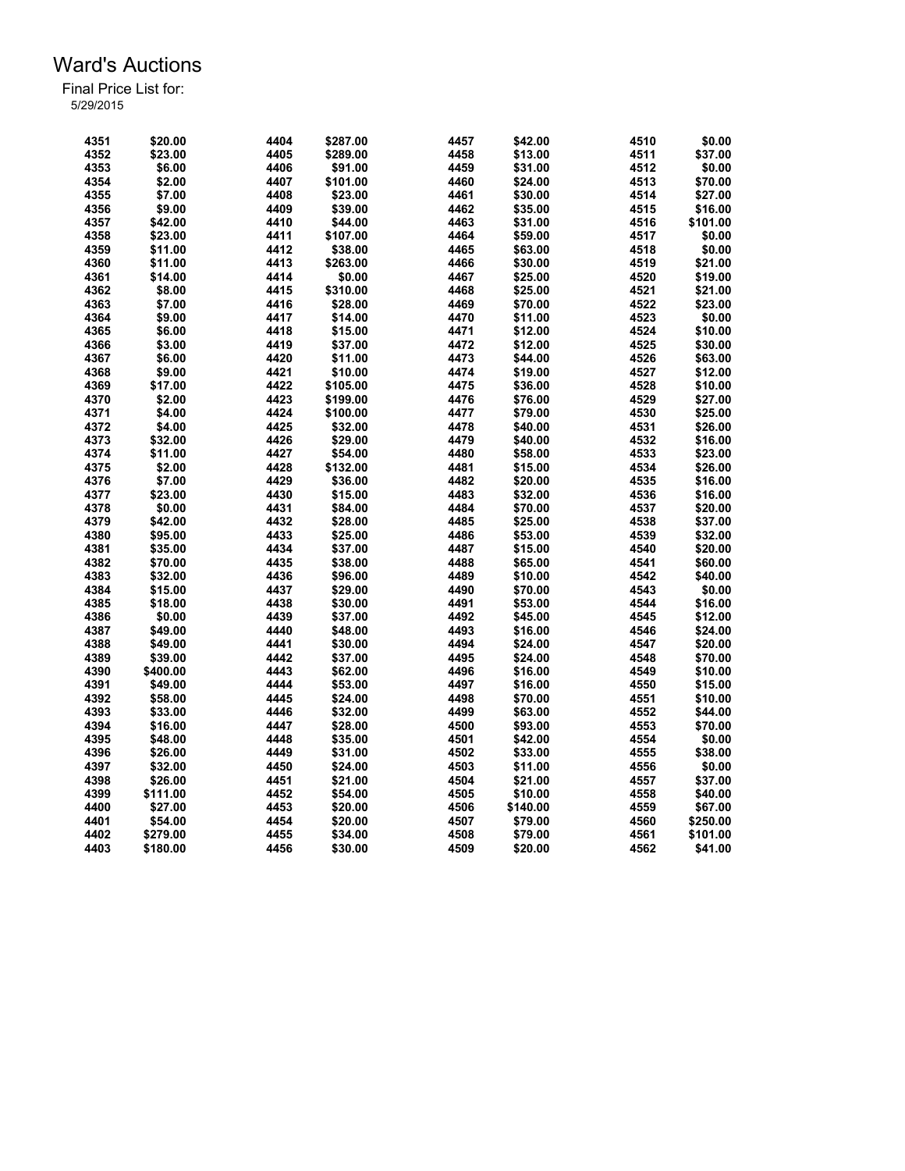| 4351 | \$20.00  | 4404 | \$287.00 | 4457 | \$42.00  | 4510 | \$0.00   |
|------|----------|------|----------|------|----------|------|----------|
| 4352 | \$23.00  | 4405 | \$289.00 | 4458 | \$13.00  | 4511 | \$37.00  |
| 4353 | \$6.00   | 4406 | \$91.00  | 4459 | \$31.00  | 4512 | \$0.00   |
| 4354 | \$2.00   | 4407 | \$101.00 | 4460 | \$24.00  | 4513 | \$70.00  |
| 4355 | \$7.00   | 4408 | \$23.00  | 4461 | \$30.00  | 4514 | \$27.00  |
| 4356 | \$9.00   | 4409 | \$39.00  | 4462 | \$35.00  | 4515 | \$16.00  |
| 4357 | \$42.00  | 4410 | \$44.00  | 4463 | \$31.00  | 4516 | \$101.00 |
| 4358 | \$23.00  | 4411 | \$107.00 | 4464 | \$59.00  | 4517 | \$0.00   |
| 4359 | \$11.00  | 4412 | \$38.00  |      | \$63.00  | 4518 |          |
| 4360 |          |      |          | 4465 |          |      | \$0.00   |
|      | \$11.00  | 4413 | \$263.00 | 4466 | \$30.00  | 4519 | \$21.00  |
| 4361 | \$14.00  | 4414 | \$0.00   | 4467 | \$25.00  | 4520 | \$19.00  |
| 4362 | \$8.00   | 4415 | \$310.00 | 4468 | \$25.00  | 4521 | \$21.00  |
| 4363 | \$7.00   | 4416 | \$28.00  | 4469 | \$70.00  | 4522 | \$23.00  |
| 4364 | \$9.00   | 4417 | \$14.00  | 4470 | \$11.00  | 4523 | \$0.00   |
| 4365 | \$6.00   | 4418 | \$15.00  | 4471 | \$12.00  | 4524 | \$10.00  |
| 4366 | \$3.00   | 4419 | \$37.00  | 4472 | \$12.00  | 4525 | \$30.00  |
| 4367 | \$6.00   | 4420 | \$11.00  | 4473 | \$44.00  | 4526 | \$63.00  |
| 4368 | \$9.00   | 4421 | \$10.00  | 4474 | \$19.00  | 4527 | \$12.00  |
| 4369 | \$17.00  | 4422 | \$105.00 | 4475 | \$36.00  | 4528 | \$10.00  |
| 4370 | \$2.00   | 4423 | \$199.00 | 4476 | \$76.00  | 4529 | \$27.00  |
| 4371 | \$4.00   | 4424 | \$100.00 | 4477 | \$79.00  | 4530 | \$25.00  |
| 4372 | \$4.00   | 4425 | \$32.00  | 4478 | \$40.00  | 4531 | \$26.00  |
| 4373 | \$32.00  | 4426 | \$29.00  | 4479 | \$40.00  | 4532 | \$16.00  |
| 4374 | \$11.00  | 4427 | \$54.00  | 4480 | \$58.00  | 4533 | \$23.00  |
| 4375 | \$2.00   | 4428 | \$132.00 | 4481 | \$15.00  | 4534 | \$26.00  |
| 4376 | \$7.00   | 4429 | \$36.00  | 4482 | \$20.00  | 4535 | \$16.00  |
| 4377 | \$23.00  | 4430 | \$15.00  | 4483 | \$32.00  | 4536 | \$16.00  |
| 4378 | \$0.00   | 4431 | \$84.00  | 4484 | \$70.00  | 4537 | \$20.00  |
| 4379 | \$42.00  | 4432 | \$28.00  | 4485 | \$25.00  | 4538 | \$37.00  |
| 4380 | \$95.00  | 4433 | \$25.00  | 4486 | \$53.00  | 4539 | \$32.00  |
| 4381 | \$35.00  | 4434 | \$37.00  | 4487 | \$15.00  | 4540 | \$20.00  |
| 4382 | \$70.00  | 4435 | \$38.00  | 4488 | \$65.00  | 4541 | \$60.00  |
| 4383 |          |      |          |      |          | 4542 |          |
|      | \$32.00  | 4436 | \$96.00  | 4489 | \$10.00  |      | \$40.00  |
| 4384 | \$15.00  | 4437 | \$29.00  | 4490 | \$70.00  | 4543 | \$0.00   |
| 4385 | \$18.00  | 4438 | \$30.00  | 4491 | \$53.00  | 4544 | \$16.00  |
| 4386 | \$0.00   | 4439 | \$37.00  | 4492 | \$45.00  | 4545 | \$12.00  |
| 4387 | \$49.00  | 4440 | \$48.00  | 4493 | \$16.00  | 4546 | \$24.00  |
| 4388 | \$49.00  | 4441 | \$30.00  | 4494 | \$24.00  | 4547 | \$20.00  |
| 4389 | \$39.00  | 4442 | \$37.00  | 4495 | \$24.00  | 4548 | \$70.00  |
| 4390 | \$400.00 | 4443 | \$62.00  | 4496 | \$16.00  | 4549 | \$10.00  |
| 4391 | \$49.00  | 4444 | \$53.00  | 4497 | \$16.00  | 4550 | \$15.00  |
| 4392 | \$58.00  | 4445 | \$24.00  | 4498 | \$70.00  | 4551 | \$10.00  |
| 4393 | \$33.00  | 4446 | \$32.00  | 4499 | \$63.00  | 4552 | \$44.00  |
| 4394 | \$16.00  | 4447 | \$28.00  | 4500 | \$93.00  | 4553 | \$70.00  |
| 4395 | \$48.00  | 4448 | \$35.00  | 4501 | \$42.00  | 4554 | \$0.00   |
| 4396 | \$26.00  | 4449 | \$31.00  | 4502 | \$33.00  | 4555 | \$38.00  |
| 4397 | \$32.00  | 4450 | \$24.00  | 4503 | \$11.00  | 4556 | \$0.00   |
| 4398 | \$26.00  | 4451 | \$21.00  | 4504 | \$21.00  | 4557 | \$37.00  |
| 4399 | \$111.00 | 4452 | \$54.00  | 4505 | \$10.00  | 4558 | \$40.00  |
| 4400 | \$27.00  | 4453 | \$20.00  | 4506 | \$140.00 | 4559 | \$67.00  |
| 4401 | \$54.00  | 4454 | \$20.00  | 4507 | \$79.00  | 4560 | \$250.00 |
| 4402 | \$279.00 | 4455 | \$34.00  | 4508 | \$79.00  | 4561 | \$101.00 |
| 4403 | \$180.00 | 4456 | \$30.00  | 4509 | \$20.00  | 4562 | \$41.00  |
|      |          |      |          |      |          |      |          |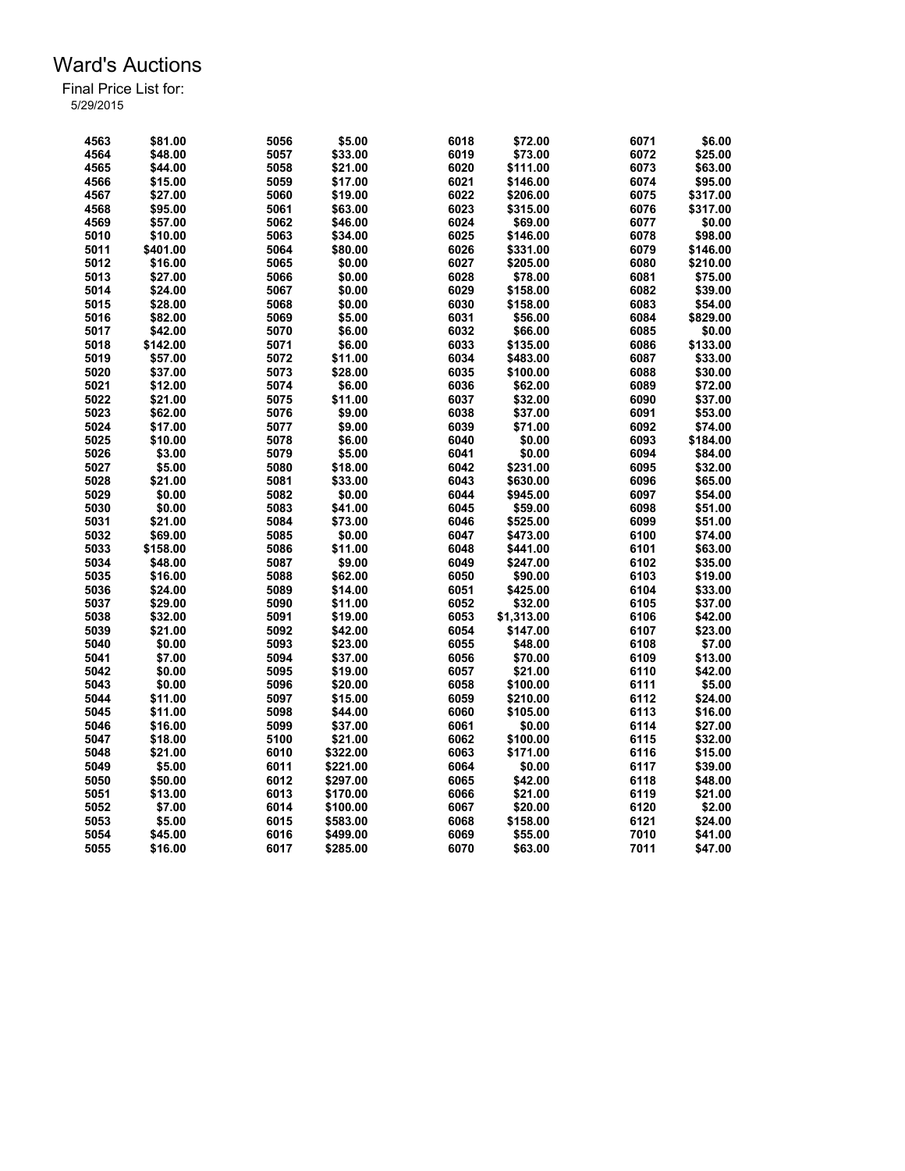| 4563 | \$81.00  | 5056 | \$5.00   | 6018 | \$72.00    | 6071 | \$6.00   |
|------|----------|------|----------|------|------------|------|----------|
| 4564 | \$48.00  | 5057 | \$33.00  | 6019 | \$73.00    | 6072 | \$25.00  |
| 4565 | \$44.00  | 5058 | \$21.00  | 6020 | \$111.00   | 6073 | \$63.00  |
| 4566 | \$15.00  | 5059 | \$17.00  | 6021 | \$146.00   | 6074 | \$95.00  |
| 4567 | \$27.00  | 5060 | \$19.00  | 6022 | \$206.00   | 6075 | \$317.00 |
| 4568 | \$95.00  | 5061 | \$63.00  | 6023 | \$315.00   | 6076 | \$317.00 |
| 4569 | \$57.00  | 5062 | \$46.00  | 6024 | \$69.00    | 6077 | \$0.00   |
| 5010 | \$10.00  | 5063 | \$34.00  | 6025 | \$146.00   | 6078 | \$98.00  |
| 5011 | \$401.00 | 5064 | \$80.00  | 6026 | \$331.00   | 6079 | \$146.00 |
| 5012 | \$16.00  | 5065 | \$0.00   | 6027 | \$205.00   | 6080 | \$210.00 |
| 5013 | \$27.00  | 5066 | \$0.00   | 6028 | \$78.00    | 6081 | \$75.00  |
| 5014 | \$24.00  | 5067 | \$0.00   | 6029 | \$158.00   | 6082 | \$39.00  |
| 5015 | \$28.00  | 5068 | \$0.00   | 6030 | \$158.00   | 6083 | \$54.00  |
| 5016 | \$82.00  | 5069 | \$5.00   | 6031 | \$56.00    | 6084 | \$829.00 |
| 5017 | \$42.00  | 5070 | \$6.00   | 6032 | \$66.00    | 6085 | \$0.00   |
| 5018 | \$142.00 | 5071 | \$6.00   | 6033 | \$135.00   | 6086 | \$133.00 |
| 5019 | \$57.00  | 5072 | \$11.00  | 6034 | \$483.00   | 6087 | \$33.00  |
| 5020 |          | 5073 | \$28.00  | 6035 |            | 6088 | \$30.00  |
|      | \$37.00  |      |          |      | \$100.00   |      |          |
| 5021 | \$12.00  | 5074 | \$6.00   | 6036 | \$62.00    | 6089 | \$72.00  |
| 5022 | \$21.00  | 5075 | \$11.00  | 6037 | \$32.00    | 6090 | \$37.00  |
| 5023 | \$62.00  | 5076 | \$9.00   | 6038 | \$37.00    | 6091 | \$53.00  |
| 5024 | \$17.00  | 5077 | \$9.00   | 6039 | \$71.00    | 6092 | \$74.00  |
| 5025 | \$10.00  | 5078 | \$6.00   | 6040 | \$0.00     | 6093 | \$184.00 |
| 5026 | \$3.00   | 5079 | \$5.00   | 6041 | \$0.00     | 6094 | \$84.00  |
| 5027 | \$5.00   | 5080 | \$18.00  | 6042 | \$231.00   | 6095 | \$32.00  |
| 5028 | \$21.00  | 5081 | \$33.00  | 6043 | \$630.00   | 6096 | \$65.00  |
| 5029 | \$0.00   | 5082 | \$0.00   | 6044 | \$945.00   | 6097 | \$54.00  |
| 5030 | \$0.00   | 5083 | \$41.00  | 6045 | \$59.00    | 6098 | \$51.00  |
| 5031 | \$21.00  | 5084 | \$73.00  | 6046 | \$525.00   | 6099 | \$51.00  |
| 5032 | \$69.00  | 5085 | \$0.00   | 6047 | \$473.00   | 6100 | \$74.00  |
| 5033 | \$158.00 | 5086 | \$11.00  | 6048 | \$441.00   | 6101 | \$63.00  |
| 5034 | \$48.00  | 5087 | \$9.00   | 6049 | \$247.00   | 6102 | \$35.00  |
| 5035 | \$16.00  | 5088 | \$62.00  | 6050 | \$90.00    | 6103 | \$19.00  |
| 5036 | \$24.00  | 5089 | \$14.00  | 6051 | \$425.00   | 6104 | \$33.00  |
| 5037 | \$29.00  | 5090 | \$11.00  | 6052 | \$32.00    | 6105 | \$37.00  |
| 5038 | \$32.00  | 5091 | \$19.00  | 6053 | \$1,313.00 | 6106 | \$42.00  |
| 5039 | \$21.00  | 5092 | \$42.00  | 6054 | \$147.00   | 6107 | \$23.00  |
| 5040 | \$0.00   | 5093 | \$23.00  | 6055 | \$48.00    | 6108 | \$7.00   |
| 5041 | \$7.00   | 5094 | \$37.00  | 6056 | \$70.00    | 6109 | \$13.00  |
| 5042 | \$0.00   | 5095 | \$19.00  | 6057 | \$21.00    | 6110 | \$42.00  |
| 5043 | \$0.00   | 5096 | \$20.00  | 6058 | \$100.00   | 6111 | \$5.00   |
| 5044 | \$11.00  | 5097 | \$15.00  | 6059 | \$210.00   | 6112 | \$24.00  |
| 5045 | \$11.00  | 5098 | \$44.00  | 6060 | \$105.00   | 6113 | \$16.00  |
| 5046 | \$16.00  | 5099 | \$37.00  | 6061 | \$0.00     | 6114 | \$27.00  |
| 5047 | \$18.00  | 5100 | \$21.00  | 6062 | \$100.00   | 6115 | \$32.00  |
| 5048 | \$21.00  | 6010 | \$322.00 | 6063 | \$171.00   | 6116 | \$15.00  |
| 5049 | \$5.00   | 6011 | \$221.00 | 6064 | \$0.00     | 6117 | \$39.00  |
| 5050 | \$50.00  | 6012 | \$297.00 | 6065 | \$42.00    | 6118 | \$48.00  |
| 5051 | \$13.00  | 6013 | \$170.00 | 6066 | \$21.00    | 6119 | \$21.00  |
| 5052 | \$7.00   | 6014 | \$100.00 | 6067 | \$20.00    | 6120 | \$2.00   |
| 5053 | \$5.00   | 6015 | \$583.00 | 6068 | \$158.00   | 6121 | \$24.00  |
| 5054 | \$45.00  | 6016 | \$499.00 | 6069 | \$55.00    | 7010 | \$41.00  |
| 5055 | \$16.00  | 6017 | \$285.00 | 6070 | \$63.00    | 7011 | \$47.00  |
|      |          |      |          |      |            |      |          |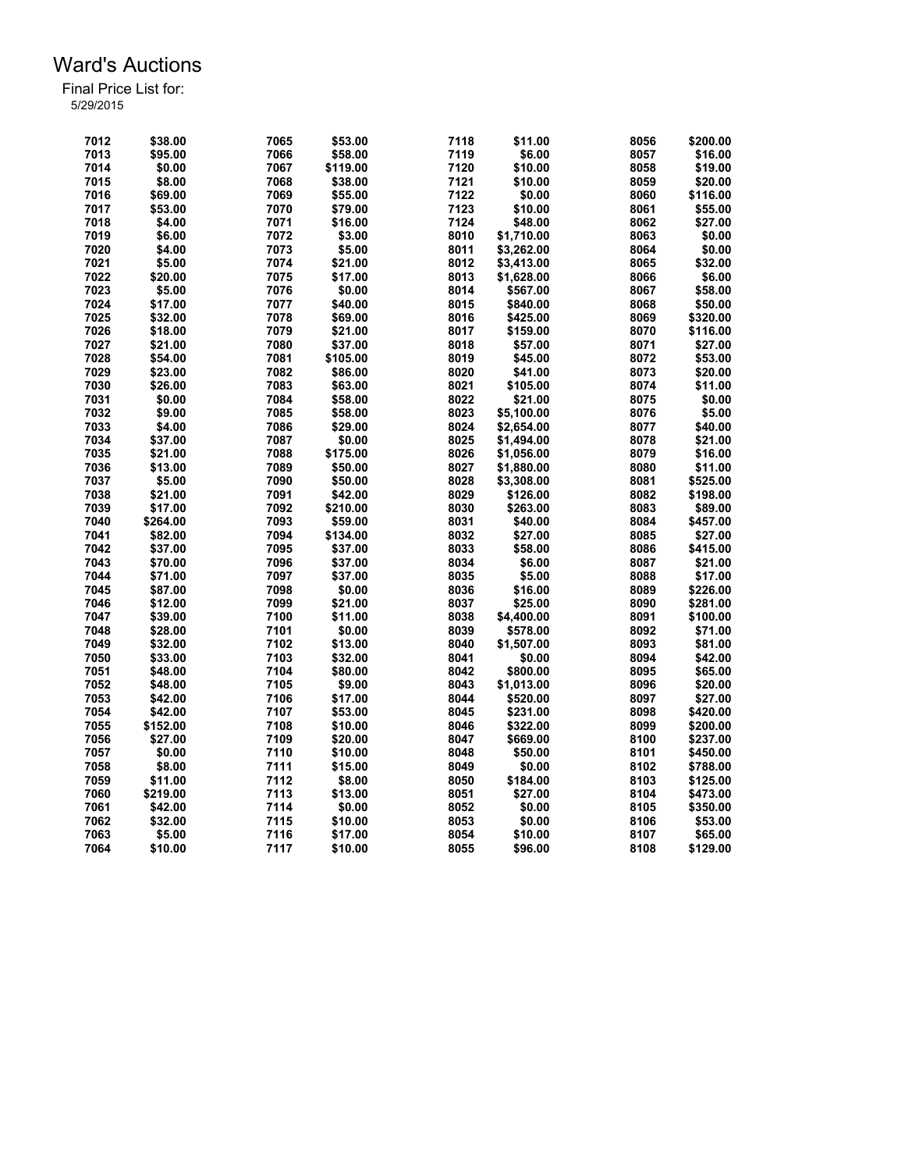| 7012 | \$38.00  | 7065 | \$53.00  | 7118 | \$11.00    | 8056         | \$200.00 |
|------|----------|------|----------|------|------------|--------------|----------|
| 7013 | \$95.00  | 7066 | \$58.00  | 7119 | \$6.00     | 8057         | \$16.00  |
| 7014 | \$0.00   | 7067 | \$119.00 | 7120 | \$10.00    | 8058         | \$19.00  |
| 7015 | \$8.00   | 7068 | \$38.00  | 7121 | \$10.00    | 8059         | \$20.00  |
| 7016 | \$69.00  | 7069 | \$55.00  | 7122 | \$0.00     |              | \$116.00 |
|      |          |      |          |      |            | 8060         |          |
| 7017 | \$53.00  | 7070 | \$79.00  | 7123 | \$10.00    | 8061         | \$55.00  |
| 7018 | \$4.00   | 7071 | \$16.00  | 7124 | \$48.00    | 8062         | \$27.00  |
| 7019 | \$6.00   | 7072 | \$3.00   | 8010 | \$1,710.00 | 8063         | \$0.00   |
| 7020 | \$4.00   | 7073 | \$5.00   | 8011 | \$3,262.00 | 8064         | \$0.00   |
| 7021 | \$5.00   | 7074 | \$21.00  | 8012 | \$3,413.00 | 8065         | \$32.00  |
| 7022 | \$20.00  | 7075 | \$17.00  | 8013 | \$1,628.00 | 8066         | \$6.00   |
| 7023 | \$5.00   | 7076 | \$0.00   | 8014 | \$567.00   | 8067         | \$58.00  |
| 7024 | \$17.00  | 7077 | \$40.00  | 8015 | \$840.00   | 8068         | \$50.00  |
| 7025 | \$32.00  | 7078 | \$69.00  | 8016 | \$425.00   | 8069         | \$320.00 |
| 7026 | \$18.00  | 7079 | \$21.00  | 8017 | \$159.00   | 8070         | \$116.00 |
| 7027 | \$21.00  | 7080 | \$37.00  | 8018 | \$57.00    | 8071         | \$27.00  |
| 7028 | \$54.00  | 7081 | \$105.00 | 8019 | \$45.00    | 8072         | \$53.00  |
| 7029 | \$23.00  | 7082 | \$86.00  | 8020 | \$41.00    | 8073         | \$20.00  |
| 7030 | \$26.00  | 7083 | \$63.00  | 8021 | \$105.00   | 8074         | \$11.00  |
| 7031 | \$0.00   | 7084 | \$58.00  | 8022 | \$21.00    | 8075         | \$0.00   |
| 7032 | \$9.00   | 7085 | \$58.00  | 8023 | \$5,100.00 | 8076         | \$5.00   |
| 7033 | \$4.00   | 7086 | \$29.00  | 8024 | \$2,654.00 | 8077         | \$40.00  |
| 7034 | \$37.00  | 7087 | \$0.00   | 8025 | \$1.494.00 | 8078         | \$21.00  |
| 7035 | \$21.00  | 7088 | \$175.00 | 8026 | \$1,056.00 | 8079         | \$16.00  |
| 7036 | \$13.00  | 7089 | \$50.00  | 8027 | \$1,880.00 | 8080         | \$11.00  |
| 7037 | \$5.00   | 7090 | \$50.00  | 8028 | \$3,308.00 | 8081         | \$525.00 |
|      |          | 7091 |          |      |            |              |          |
| 7038 | \$21.00  |      | \$42.00  | 8029 | \$126.00   | 8082         | \$198.00 |
| 7039 | \$17.00  | 7092 | \$210.00 | 8030 | \$263.00   | 8083         | \$89.00  |
| 7040 | \$264.00 | 7093 | \$59.00  | 8031 | \$40.00    | 8084         | \$457.00 |
| 7041 | \$82.00  | 7094 | \$134.00 | 8032 | \$27.00    | 8085         | \$27.00  |
| 7042 | \$37.00  | 7095 | \$37.00  | 8033 | \$58.00    | 8086         | \$415.00 |
| 7043 | \$70.00  | 7096 | \$37.00  | 8034 | \$6.00     | 8087         | \$21.00  |
| 7044 | \$71.00  | 7097 | \$37.00  | 8035 | \$5.00     | 8088         | \$17.00  |
| 7045 | \$87.00  | 7098 | \$0.00   | 8036 | \$16.00    | 8089         | \$226.00 |
| 7046 | \$12.00  | 7099 | \$21.00  | 8037 | \$25.00    | 8090         | \$281.00 |
| 7047 | \$39.00  | 7100 | \$11.00  | 8038 | \$4,400.00 | 8091         | \$100.00 |
| 7048 | \$28.00  | 7101 | \$0.00   | 8039 | \$578.00   | 8092         | \$71.00  |
| 7049 | \$32.00  | 7102 | \$13.00  | 8040 | \$1,507.00 | 8093         | \$81.00  |
| 7050 | \$33.00  | 7103 | \$32.00  | 8041 | \$0.00     | 8094         | \$42.00  |
| 7051 | \$48.00  | 7104 | \$80.00  | 8042 | \$800.00   | 8095         | \$65.00  |
| 7052 | \$48.00  | 7105 | \$9.00   | 8043 | \$1,013.00 | 8096         | \$20.00  |
| 7053 | \$42.00  | 7106 | \$17.00  | 8044 | \$520.00   | 8097         | \$27.00  |
| 7054 | \$42.00  | 7107 | \$53.00  | 8045 | \$231.00   | 8098         | \$420.00 |
| 7055 | \$152.00 | 7108 | \$10.00  | 8046 | \$322.00   | 8099         | \$200.00 |
| 7056 | \$27.00  | 7109 | \$20.00  | 8047 | \$669.00   | 8100         | \$237.00 |
| 7057 | \$0.00   | 7110 | \$10.00  | 8048 | \$50.00    | 8101         | \$450.00 |
| 7058 | \$8.00   | 7111 | \$15.00  | 8049 | \$0.00     | 8102         | \$788.00 |
| 7059 | \$11.00  | 7112 | \$8.00   | 8050 | \$184.00   | 8103         | \$125.00 |
| 7060 | \$219.00 | 7113 | \$13.00  | 8051 | \$27.00    | 8104         | \$473.00 |
| 7061 | \$42.00  | 7114 | \$0.00   | 8052 | \$0.00     | 8105         | \$350.00 |
|      | \$32.00  | 7115 |          | 8053 | \$0.00     |              |          |
| 7062 |          | 7116 | \$10.00  | 8054 | \$10.00    | 8106<br>8107 | \$53.00  |
| 7063 | \$5.00   |      | \$17.00  |      |            |              | \$65.00  |
| 7064 | \$10.00  | 7117 | \$10.00  | 8055 | \$96.00    | 8108         | \$129.00 |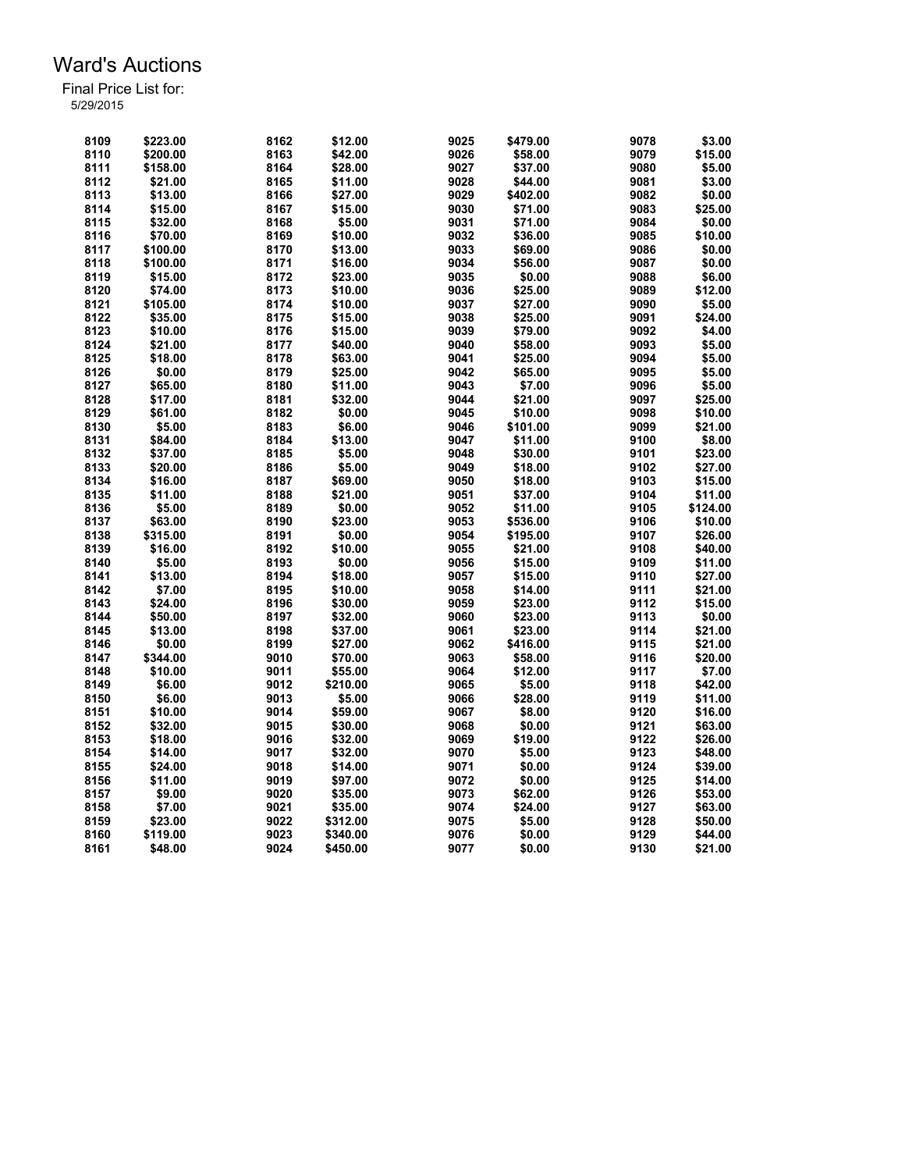| 8109 | \$223.00 | 8162 | \$12.00  | 9025 | \$479.00 | 9078         | \$3.00   |
|------|----------|------|----------|------|----------|--------------|----------|
| 8110 | \$200.00 | 8163 | \$42.00  | 9026 | \$58.00  | 9079         | \$15.00  |
| 8111 | \$158.00 | 8164 | \$28.00  | 9027 | \$37.00  | 9080         | \$5.00   |
| 8112 | \$21.00  | 8165 | \$11.00  | 9028 | \$44.00  | 9081         | \$3.00   |
| 8113 | \$13.00  | 8166 | \$27.00  | 9029 | \$402.00 | 9082         | \$0.00   |
| 8114 | \$15.00  | 8167 | \$15.00  | 9030 | \$71.00  | 9083         | \$25.00  |
| 8115 | \$32.00  | 8168 | \$5.00   | 9031 | \$71.00  | 9084         | \$0.00   |
| 8116 | \$70.00  | 8169 | \$10.00  | 9032 | \$36.00  | 9085         | \$10.00  |
| 8117 | \$100.00 | 8170 | \$13.00  | 9033 | \$69.00  | 9086         | \$0.00   |
| 8118 | \$100.00 | 8171 | \$16.00  | 9034 | \$56.00  | 9087         | \$0.00   |
| 8119 | \$15.00  | 8172 | \$23.00  | 9035 | \$0.00   | 9088         | \$6.00   |
| 8120 | \$74.00  | 8173 | \$10.00  | 9036 | \$25.00  | 9089         | \$12.00  |
| 8121 | \$105.00 | 8174 | \$10.00  | 9037 | \$27.00  | 9090         | \$5.00   |
| 8122 | \$35.00  | 8175 | \$15.00  | 9038 | \$25.00  | 9091         | \$24.00  |
| 8123 | \$10.00  | 8176 | \$15.00  | 9039 | \$79.00  | 9092         | \$4.00   |
| 8124 | \$21.00  | 8177 | \$40.00  | 9040 | \$58.00  | 9093         | \$5.00   |
| 8125 | \$18.00  | 8178 | \$63.00  | 9041 | \$25.00  | 9094         | \$5.00   |
| 8126 | \$0.00   | 8179 | \$25.00  | 9042 | \$65.00  | 9095         | \$5.00   |
| 8127 | \$65.00  |      |          | 9043 |          |              |          |
| 8128 |          | 8180 | \$11.00  | 9044 | \$7.00   | 9096<br>9097 | \$5.00   |
|      | \$17.00  | 8181 | \$32.00  |      | \$21.00  |              | \$25.00  |
| 8129 | \$61.00  | 8182 | \$0.00   | 9045 | \$10.00  | 9098         | \$10.00  |
| 8130 | \$5.00   | 8183 | \$6.00   | 9046 | \$101.00 | 9099         | \$21.00  |
| 8131 | \$84.00  | 8184 | \$13.00  | 9047 | \$11.00  | 9100         | \$8.00   |
| 8132 | \$37.00  | 8185 | \$5.00   | 9048 | \$30.00  | 9101         | \$23.00  |
| 8133 | \$20.00  | 8186 | \$5.00   | 9049 | \$18.00  | 9102         | \$27.00  |
| 8134 | \$16.00  | 8187 | \$69.00  | 9050 | \$18.00  | 9103         | \$15.00  |
| 8135 | \$11.00  | 8188 | \$21.00  | 9051 | \$37.00  | 9104         | \$11.00  |
| 8136 | \$5.00   | 8189 | \$0.00   | 9052 | \$11.00  | 9105         | \$124.00 |
| 8137 | \$63.00  | 8190 | \$23.00  | 9053 | \$536.00 | 9106         | \$10.00  |
| 8138 | \$315.00 | 8191 | \$0.00   | 9054 | \$195.00 | 9107         | \$26.00  |
| 8139 | \$16.00  | 8192 | \$10.00  | 9055 | \$21.00  | 9108         | \$40.00  |
| 8140 | \$5.00   | 8193 | \$0.00   | 9056 | \$15.00  | 9109         | \$11.00  |
| 8141 | \$13.00  | 8194 | \$18.00  | 9057 | \$15.00  | 9110         | \$27.00  |
| 8142 | \$7.00   | 8195 | \$10.00  | 9058 | \$14.00  | 9111         | \$21.00  |
| 8143 | \$24.00  | 8196 | \$30.00  | 9059 | \$23.00  | 9112         | \$15.00  |
| 8144 | \$50.00  | 8197 | \$32.00  | 9060 | \$23.00  | 9113         | \$0.00   |
| 8145 | \$13.00  | 8198 | \$37.00  | 9061 | \$23.00  | 9114         | \$21.00  |
| 8146 | \$0.00   | 8199 | \$27.00  | 9062 | \$416.00 | 9115         | \$21.00  |
| 8147 | \$344.00 | 9010 | \$70.00  | 9063 | \$58.00  | 9116         | \$20.00  |
| 8148 | \$10.00  | 9011 | \$55.00  | 9064 | \$12.00  | 9117         | \$7.00   |
| 8149 | \$6.00   | 9012 | \$210.00 | 9065 | \$5.00   | 9118         | \$42.00  |
| 8150 | \$6.00   | 9013 | \$5.00   | 9066 | \$28.00  | 9119         | \$11.00  |
| 8151 | \$10.00  | 9014 | \$59.00  | 9067 | \$8.00   | 9120         | \$16.00  |
| 8152 | \$32.00  | 9015 | \$30.00  | 9068 | \$0.00   | 9121         | \$63.00  |
| 8153 | \$18.00  | 9016 | \$32.00  | 9069 | \$19.00  | 9122         | \$26.00  |
| 8154 | \$14.00  | 9017 | \$32.00  | 9070 | \$5.00   | 9123         | \$48.00  |
| 8155 | \$24.00  | 9018 | \$14.00  | 9071 | \$0.00   | 9124         | \$39.00  |
| 8156 | \$11.00  | 9019 | \$97.00  | 9072 | \$0.00   | 9125         | \$14.00  |
| 8157 | \$9.00   | 9020 | \$35.00  | 9073 | \$62.00  | 9126         | \$53.00  |
| 8158 | \$7.00   | 9021 | \$35.00  | 9074 | \$24.00  | 9127         | \$63.00  |
| 8159 | \$23.00  | 9022 | \$312.00 | 9075 | \$5.00   | 9128         | \$50.00  |
| 8160 | \$119.00 | 9023 | \$340.00 | 9076 | \$0.00   | 9129         | \$44.00  |
| 8161 | \$48.00  | 9024 | \$450.00 | 9077 | \$0.00   | 9130         | \$21.00  |
|      |          |      |          |      |          |              |          |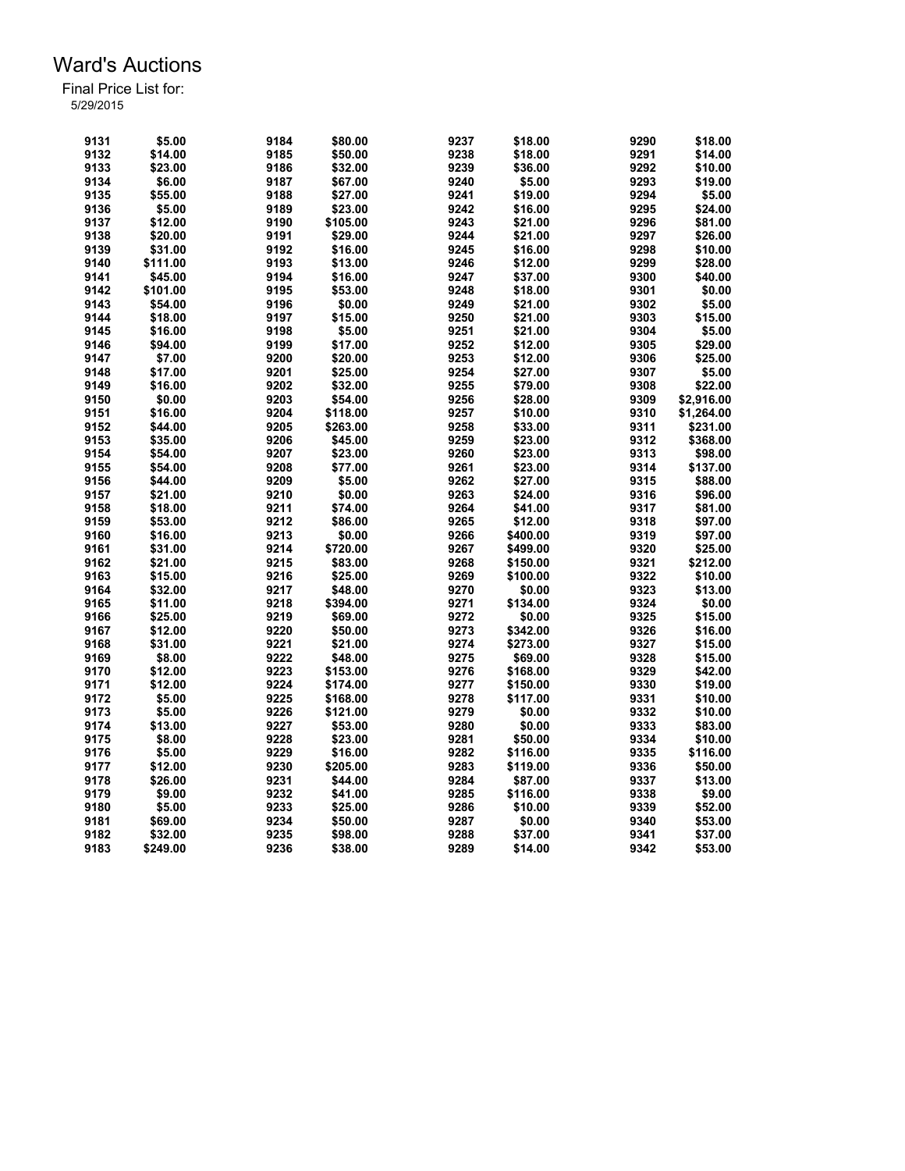| 9131 | \$5.00   | 9184 | \$80.00  | 9237 | \$18.00  | 9290 | \$18.00    |
|------|----------|------|----------|------|----------|------|------------|
| 9132 | \$14.00  | 9185 | \$50.00  | 9238 | \$18.00  | 9291 | \$14.00    |
| 9133 | \$23.00  | 9186 | \$32.00  | 9239 | \$36.00  | 9292 | \$10.00    |
| 9134 | \$6.00   | 9187 | \$67.00  | 9240 | \$5.00   | 9293 | \$19.00    |
| 9135 | \$55.00  | 9188 | \$27.00  | 9241 | \$19.00  | 9294 | \$5.00     |
| 9136 | \$5.00   | 9189 | \$23.00  | 9242 | \$16.00  | 9295 | \$24.00    |
| 9137 | \$12.00  | 9190 | \$105.00 | 9243 | \$21.00  | 9296 | \$81.00    |
| 9138 | \$20.00  | 9191 | \$29.00  | 9244 | \$21.00  | 9297 | \$26.00    |
| 9139 | \$31.00  | 9192 | \$16.00  | 9245 | \$16.00  | 9298 | \$10.00    |
|      |          |      |          |      |          |      |            |
| 9140 | \$111.00 | 9193 | \$13.00  | 9246 | \$12.00  | 9299 | \$28.00    |
| 9141 | \$45.00  | 9194 | \$16.00  | 9247 | \$37.00  | 9300 | \$40.00    |
| 9142 | \$101.00 | 9195 | \$53.00  | 9248 | \$18.00  | 9301 | \$0.00     |
| 9143 | \$54.00  | 9196 | \$0.00   | 9249 | \$21.00  | 9302 | \$5.00     |
| 9144 | \$18.00  | 9197 | \$15.00  | 9250 | \$21.00  | 9303 | \$15.00    |
| 9145 | \$16.00  | 9198 | \$5.00   | 9251 | \$21.00  | 9304 | \$5.00     |
| 9146 | \$94.00  | 9199 | \$17.00  | 9252 | \$12.00  | 9305 | \$29.00    |
| 9147 | \$7.00   | 9200 | \$20.00  | 9253 | \$12.00  | 9306 | \$25.00    |
| 9148 | \$17.00  | 9201 | \$25.00  | 9254 | \$27.00  | 9307 | \$5.00     |
| 9149 | \$16.00  | 9202 | \$32.00  | 9255 | \$79.00  | 9308 | \$22.00    |
| 9150 |          |      |          |      |          | 9309 |            |
|      | \$0.00   | 9203 | \$54.00  | 9256 | \$28.00  |      | \$2,916.00 |
| 9151 | \$16.00  | 9204 | \$118.00 | 9257 | \$10.00  | 9310 | \$1,264.00 |
| 9152 | \$44.00  | 9205 | \$263.00 | 9258 | \$33.00  | 9311 | \$231.00   |
| 9153 | \$35.00  | 9206 | \$45.00  | 9259 | \$23.00  | 9312 | \$368.00   |
| 9154 | \$54.00  | 9207 | \$23.00  | 9260 | \$23.00  | 9313 | \$98.00    |
| 9155 | \$54.00  | 9208 | \$77.00  | 9261 | \$23.00  | 9314 | \$137.00   |
| 9156 | \$44.00  | 9209 | \$5.00   | 9262 | \$27.00  | 9315 | \$88.00    |
| 9157 | \$21.00  | 9210 | \$0.00   | 9263 | \$24.00  | 9316 | \$96.00    |
| 9158 | \$18.00  | 9211 | \$74.00  | 9264 | \$41.00  | 9317 | \$81.00    |
| 9159 | \$53.00  | 9212 | \$86.00  | 9265 | \$12.00  | 9318 | \$97.00    |
| 9160 | \$16.00  | 9213 | \$0.00   | 9266 | \$400.00 | 9319 |            |
|      |          |      |          |      |          |      | \$97.00    |
| 9161 | \$31.00  | 9214 | \$720.00 | 9267 | \$499.00 | 9320 | \$25.00    |
| 9162 | \$21.00  | 9215 | \$83.00  | 9268 | \$150.00 | 9321 | \$212.00   |
| 9163 | \$15.00  | 9216 | \$25.00  | 9269 | \$100.00 | 9322 | \$10.00    |
| 9164 | \$32.00  | 9217 | \$48.00  | 9270 | \$0.00   | 9323 | \$13.00    |
| 9165 | \$11.00  | 9218 | \$394.00 | 9271 | \$134.00 | 9324 | \$0.00     |
| 9166 | \$25.00  | 9219 | \$69.00  | 9272 | \$0.00   | 9325 | \$15.00    |
| 9167 | \$12.00  | 9220 | \$50.00  | 9273 | \$342.00 | 9326 | \$16.00    |
| 9168 | \$31.00  | 9221 | \$21.00  | 9274 | \$273.00 | 9327 | \$15.00    |
| 9169 | \$8.00   | 9222 | \$48.00  | 9275 | \$69.00  | 9328 | \$15.00    |
| 9170 | \$12.00  | 9223 | \$153.00 | 9276 | \$168.00 | 9329 | \$42.00    |
|      |          |      |          |      |          |      |            |
| 9171 | \$12.00  | 9224 | \$174.00 | 9277 | \$150.00 | 9330 | \$19.00    |
| 9172 | \$5.00   | 9225 | \$168.00 | 9278 | \$117.00 | 9331 | \$10.00    |
| 9173 | \$5.00   | 9226 | \$121.00 | 9279 | \$0.00   | 9332 | \$10.00    |
| 9174 | \$13.00  | 9227 | \$53.00  | 9280 | \$0.00   | 9333 | \$83.00    |
| 9175 | \$8.00   | 9228 | \$23.00  | 9281 | \$50.00  | 9334 | \$10.00    |
| 9176 | \$5.00   | 9229 | \$16.00  | 9282 | \$116.00 | 9335 | \$116.00   |
| 9177 | \$12.00  | 9230 | \$205.00 | 9283 | \$119.00 | 9336 | \$50.00    |
| 9178 | \$26.00  | 9231 | \$44.00  | 9284 | \$87.00  | 9337 | \$13.00    |
| 9179 | \$9.00   | 9232 | \$41.00  | 9285 | \$116.00 | 9338 | \$9.00     |
| 9180 | \$5.00   | 9233 | \$25.00  | 9286 | \$10.00  | 9339 | \$52.00    |
| 9181 | \$69.00  | 9234 | \$50.00  | 9287 | \$0.00   | 9340 | \$53.00    |
|      |          |      |          |      |          |      |            |
| 9182 | \$32.00  | 9235 | \$98.00  | 9288 | \$37.00  | 9341 | \$37.00    |
| 9183 | \$249.00 | 9236 | \$38.00  | 9289 | \$14.00  | 9342 | \$53.00    |